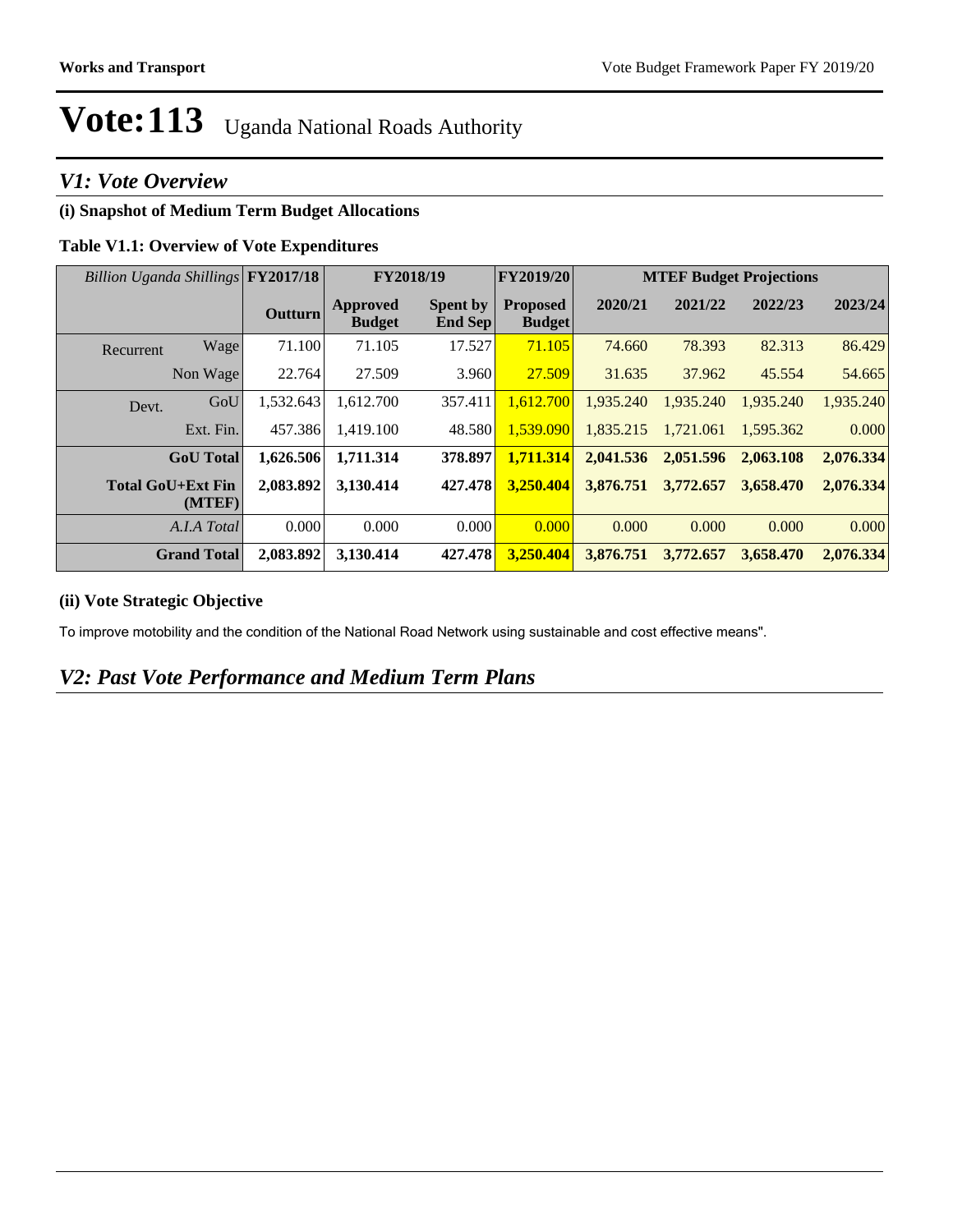#### *V1: Vote Overview*

#### **(i) Snapshot of Medium Term Budget Allocations**

#### **Table V1.1: Overview of Vote Expenditures**

| Billion Uganda Shillings FY2017/18 |                | <b>FY2018/19</b>                 |                                   | FY2019/20                        | <b>MTEF Budget Projections</b> |           |           |           |
|------------------------------------|----------------|----------------------------------|-----------------------------------|----------------------------------|--------------------------------|-----------|-----------|-----------|
|                                    | <b>Outturn</b> | <b>Approved</b><br><b>Budget</b> | <b>Spent by</b><br><b>End Sep</b> | <b>Proposed</b><br><b>Budget</b> | 2020/21                        | 2021/22   | 2022/23   | 2023/24   |
| Wage<br>Recurrent                  | 71.100         | 71.105                           | 17.527                            | 71.105                           | 74.660                         | 78.393    | 82.313    | 86.429    |
| Non Wage                           | 22.764         | 27.509                           | 3.960                             | 27.509                           | 31.635                         | 37.962    | 45.554    | 54.665    |
| GoU<br>Devt.                       | 1,532.643      | 1,612.700                        | 357.411                           | 1,612.700                        | 1,935.240                      | 1,935.240 | 1,935.240 | 1,935.240 |
| Ext. Fin.                          | 457.386        | 1,419.100                        | 48.580                            | 1.539.090                        | 1.835.215                      | 1.721.061 | 1.595.362 | 0.000     |
| <b>GoU</b> Total                   | 1,626.506      | 1,711.314                        | 378.897                           | 1,711.314                        | 2,041.536                      | 2,051.596 | 2,063.108 | 2,076.334 |
| <b>Total GoU+Ext Fin</b><br>(MTEF) | 2,083.892      | 3,130.414                        | 427.478                           | 3,250.404                        | 3,876.751                      | 3,772.657 | 3.658.470 | 2,076.334 |
| A.I.A Total                        | 0.000          | 0.000                            | 0.000                             | 0.000                            | 0.000                          | 0.000     | 0.000     | 0.000     |
| <b>Grand Total</b>                 | 2,083.892      | 3,130.414                        | 427.478                           | 3,250.404                        | 3,876,751                      | 3,772,657 | 3,658.470 | 2,076.334 |

#### **(ii) Vote Strategic Objective**

To improve motobility and the condition of the National Road Network using sustainable and cost effective means".

#### *V2: Past Vote Performance and Medium Term Plans*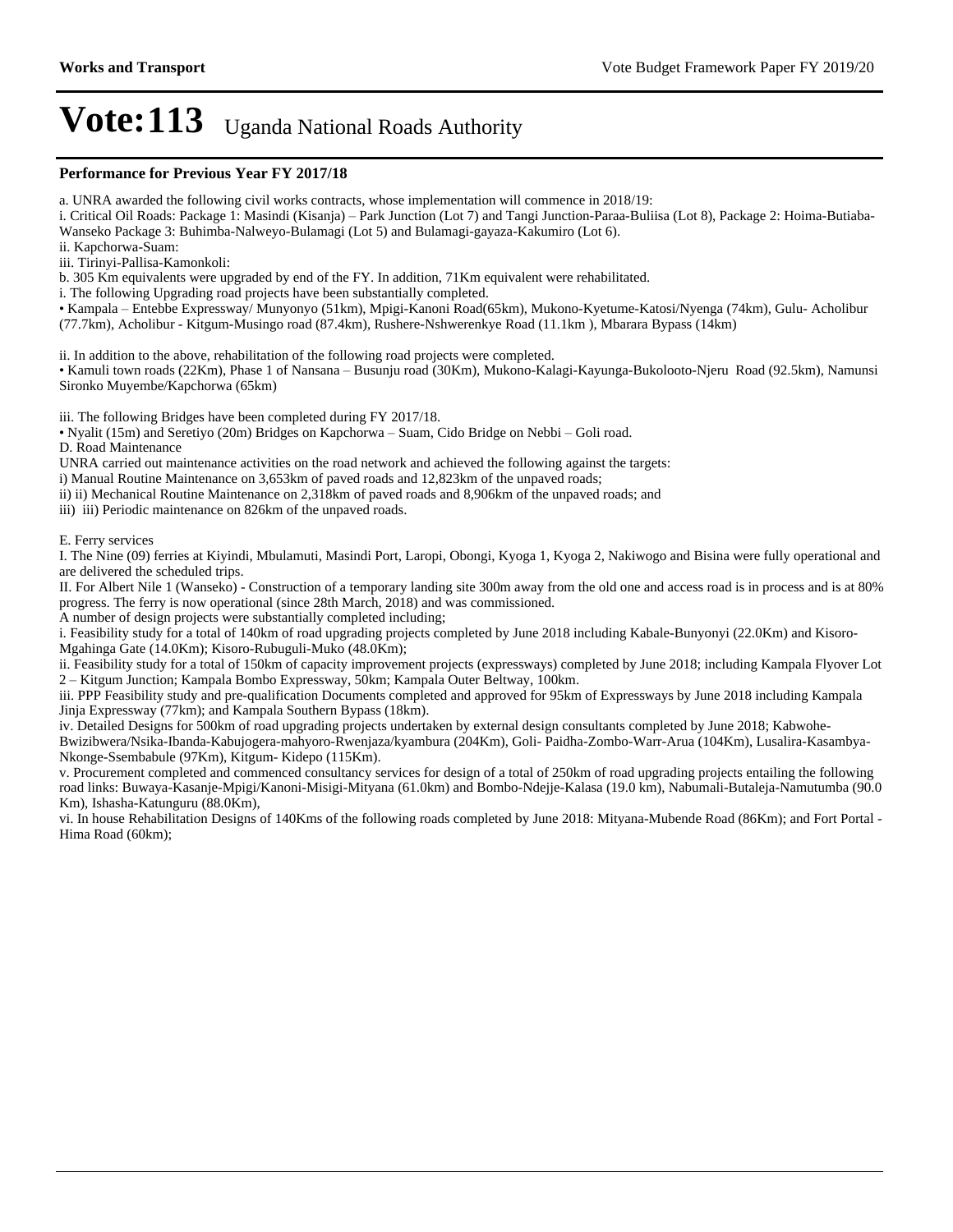#### **Performance for Previous Year FY 2017/18**

a. UNRA awarded the following civil works contracts, whose implementation will commence in 2018/19:

i. Critical Oil Roads: Package 1: Masindi (Kisanja) – Park Junction (Lot 7) and Tangi Junction-Paraa-Buliisa (Lot 8), Package 2: Hoima-Butiaba-Wanseko Package 3: Buhimba-Nalweyo-Bulamagi (Lot 5) and Bulamagi-gayaza-Kakumiro (Lot 6).

ii. Kapchorwa-Suam:

iii. Tirinyi-Pallisa-Kamonkoli:

b. 305 Km equivalents were upgraded by end of the FY. In addition, 71Km equivalent were rehabilitated.

i. The following Upgrading road projects have been substantially completed.

Kampala ±Entebbe Expressway/ Munyonyo (51km), Mpigi-Kanoni Road(65km), Mukono-Kyetume-Katosi/Nyenga (74km), Gulu- Acholibur (77.7km), Acholibur - Kitgum-Musingo road (87.4km), Rushere-Nshwerenkye Road (11.1km ), Mbarara Bypass (14km)

ii. In addition to the above, rehabilitation of the following road projects were completed.

• Kamuli town roads (22Km), Phase 1 of Nansana – Busunju road (30Km), Mukono-Kalagi-Kayunga-Bukolooto-Njeru Road (92.5km), Namunsi Sironko Muyembe/Kapchorwa (65km)

iii. The following Bridges have been completed during FY 2017/18.

• Nyalit (15m) and Seretiyo (20m) Bridges on Kapchorwa – Suam, Cido Bridge on Nebbi – Goli road.

D. Road Maintenance

UNRA carried out maintenance activities on the road network and achieved the following against the targets:

i) Manual Routine Maintenance on 3,653km of paved roads and 12,823km of the unpaved roads;

ii) ii) Mechanical Routine Maintenance on 2,318km of paved roads and 8,906km of the unpaved roads; and

iii) iii) Periodic maintenance on 826km of the unpaved roads.

E. Ferry services

I. The Nine (09) ferries at Kiyindi, Mbulamuti, Masindi Port, Laropi, Obongi, Kyoga 1, Kyoga 2, Nakiwogo and Bisina were fully operational and are delivered the scheduled trips.

II. For Albert Nile 1 (Wanseko) - Construction of a temporary landing site 300m away from the old one and access road is in process and is at 80% progress. The ferry is now operational (since 28th March, 2018) and was commissioned.

A number of design projects were substantially completed including;

i. Feasibility study for a total of 140km of road upgrading projects completed by June 2018 including Kabale-Bunyonyi (22.0Km) and Kisoro-Mgahinga Gate (14.0Km); Kisoro-Rubuguli-Muko (48.0Km);

ii. Feasibility study for a total of 150km of capacity improvement projects (expressways) completed by June 2018; including Kampala Flyover Lot 2±Kitgum Junction; Kampala Bombo Expressway, 50km; Kampala Outer Beltway, 100km.

iii. PPP Feasibility study and pre-qualification Documents completed and approved for 95km of Expressways by June 2018 including Kampala Jinja Expressway (77km); and Kampala Southern Bypass (18km).

iv. Detailed Designs for 500km of road upgrading projects undertaken by external design consultants completed by June 2018; Kabwohe-

Bwizibwera/Nsika-Ibanda-Kabujogera-mahyoro-Rwenjaza/kyambura (204Km), Goli- Paidha-Zombo-Warr-Arua (104Km), Lusalira-Kasambya-Nkonge-Ssembabule (97Km), Kitgum- Kidepo (115Km).

v. Procurement completed and commenced consultancy services for design of a total of 250km of road upgrading projects entailing the following road links: Buwaya-Kasanje-Mpigi/Kanoni-Misigi-Mityana (61.0km) and Bombo-Ndejje-Kalasa (19.0 km), Nabumali-Butaleja-Namutumba (90.0 Km), Ishasha-Katunguru (88.0Km),

vi. In house Rehabilitation Designs of 140Kms of the following roads completed by June 2018: Mityana-Mubende Road (86Km); and Fort Portal - Hima Road (60km);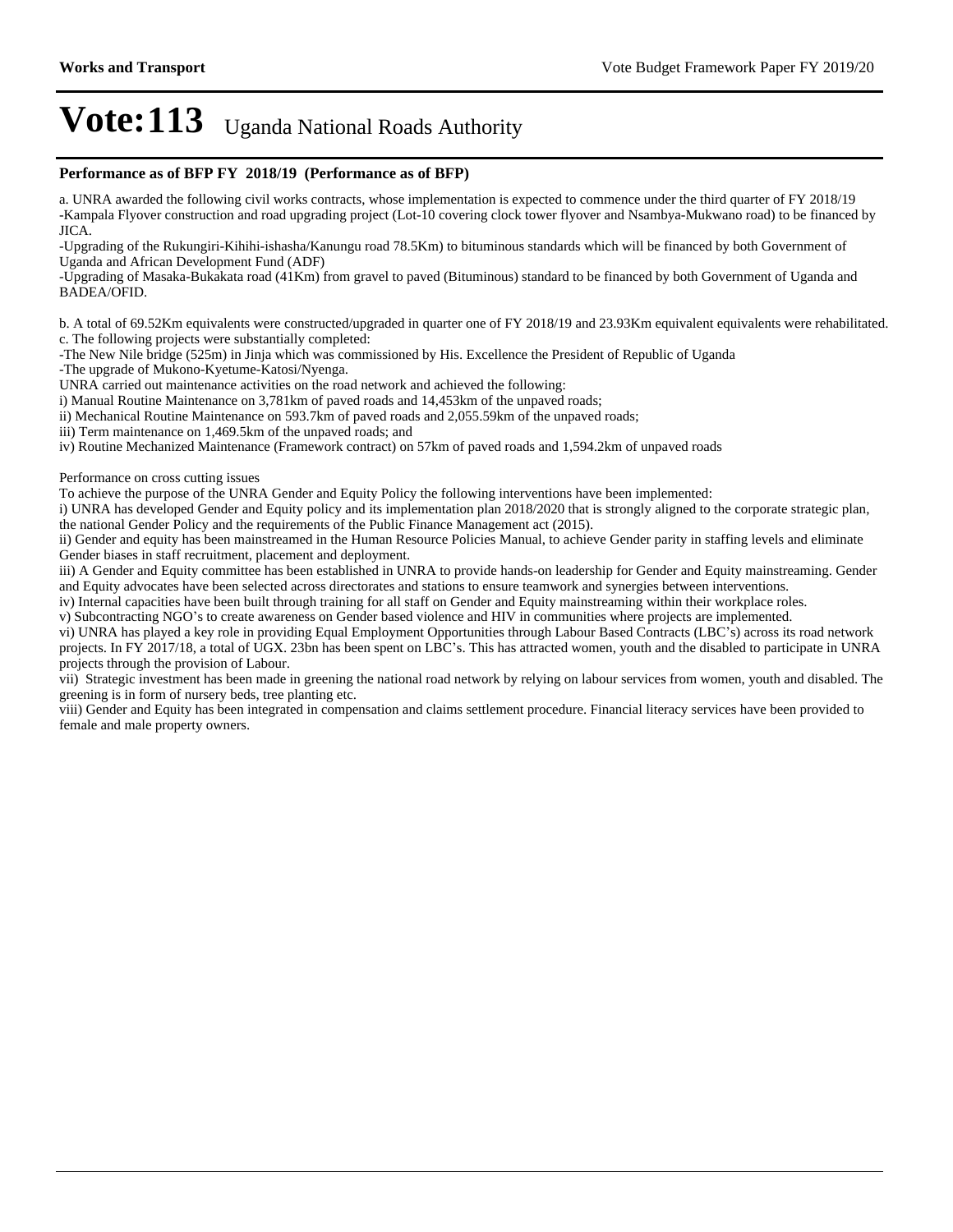#### **Performance as of BFP FY 2018/19 (Performance as of BFP)**

a. UNRA awarded the following civil works contracts, whose implementation is expected to commence under the third quarter of FY 2018/19 -Kampala Flyover construction and road upgrading project (Lot-10 covering clock tower flyover and Nsambya-Mukwano road) to be financed by JICA.

-Upgrading of the Rukungiri-Kihihi-ishasha/Kanungu road 78.5Km) to bituminous standards which will be financed by both Government of Uganda and African Development Fund (ADF)

-Upgrading of Masaka-Bukakata road (41Km) from gravel to paved (Bituminous) standard to be financed by both Government of Uganda and BADEA/OFID.

b. A total of 69.52Km equivalents were constructed/upgraded in quarter one of FY 2018/19 and 23.93Km equivalent equivalents were rehabilitated. c. The following projects were substantially completed:

-The New Nile bridge (525m) in Jinja which was commissioned by His. Excellence the President of Republic of Uganda

-The upgrade of Mukono-Kyetume-Katosi/Nyenga.

UNRA carried out maintenance activities on the road network and achieved the following:

i) Manual Routine Maintenance on 3,781km of paved roads and 14,453km of the unpaved roads;

ii) Mechanical Routine Maintenance on 593.7km of paved roads and 2,055.59km of the unpaved roads;

iii) Term maintenance on 1,469.5km of the unpaved roads; and

iv) Routine Mechanized Maintenance (Framework contract) on 57km of paved roads and 1,594.2km of unpaved roads

Performance on cross cutting issues

To achieve the purpose of the UNRA Gender and Equity Policy the following interventions have been implemented:

i) UNRA has developed Gender and Equity policy and its implementation plan 2018/2020 that is strongly aligned to the corporate strategic plan, the national Gender Policy and the requirements of the Public Finance Management act (2015).

ii) Gender and equity has been mainstreamed in the Human Resource Policies Manual, to achieve Gender parity in staffing levels and eliminate Gender biases in staff recruitment, placement and deployment.

iii) A Gender and Equity committee has been established in UNRA to provide hands-on leadership for Gender and Equity mainstreaming. Gender and Equity advocates have been selected across directorates and stations to ensure teamwork and synergies between interventions.

iv) Internal capacities have been built through training for all staff on Gender and Equity mainstreaming within their workplace roles.

v) Subcontracting NGO's to create awareness on Gender based violence and HIV in communities where projects are implemented.

vi) UNRA has played a key role in providing Equal Employment Opportunities through Labour Based Contracts (LBC's) across its road network projects. In FY 2017/18, a total of UGX. 23bn has been spent on LBC's. This has attracted women, youth and the disabled to participate in UNRA projects through the provision of Labour.

vii) Strategic investment has been made in greening the national road network by relying on labour services from women, youth and disabled. The greening is in form of nursery beds, tree planting etc.

viii) Gender and Equity has been integrated in compensation and claims settlement procedure. Financial literacy services have been provided to female and male property owners.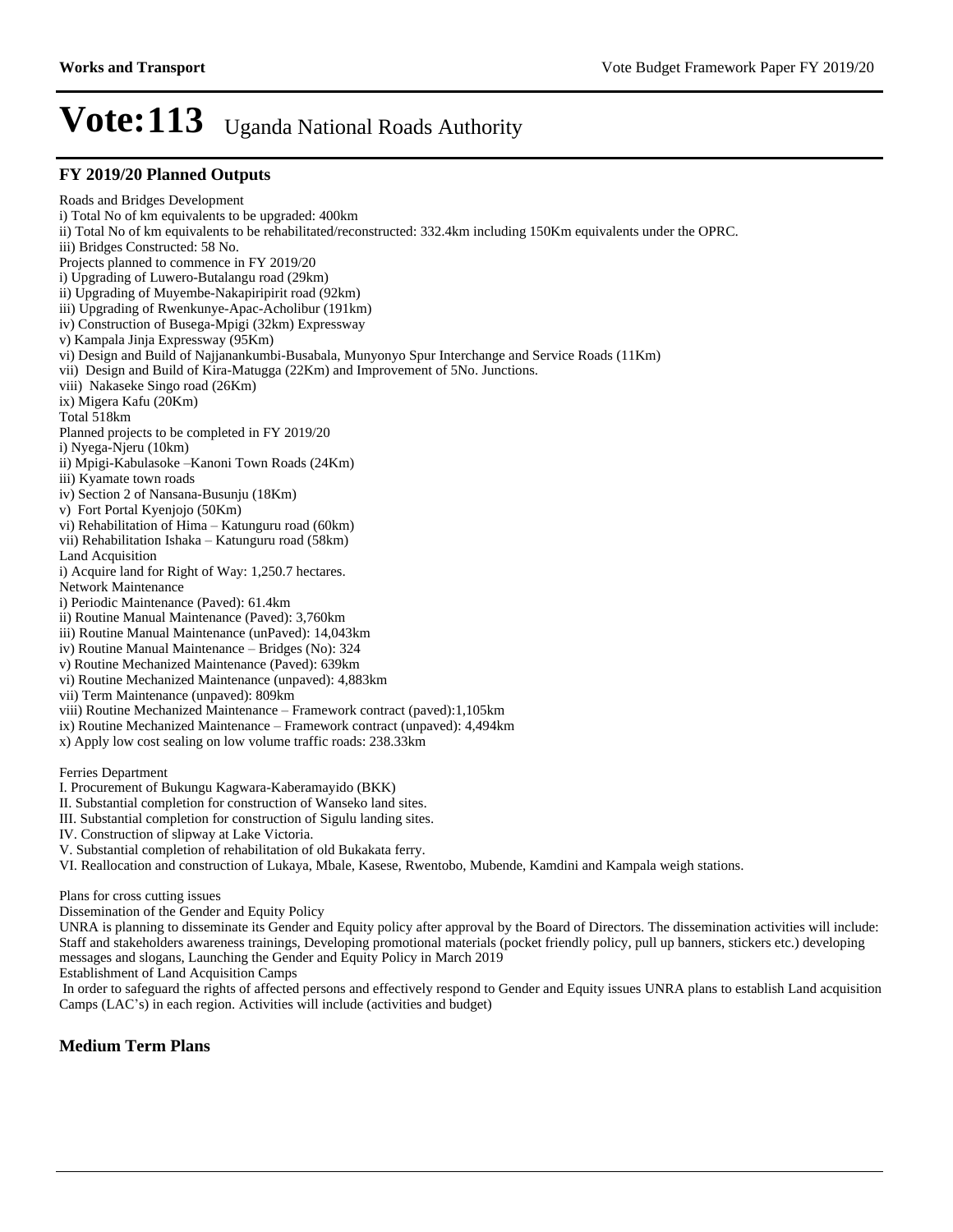**FY 2019/20 Planned Outputs** Roads and Bridges Development i) Total No of km equivalents to be upgraded: 400km ii) Total No of km equivalents to be rehabilitated/reconstructed: 332.4km including 150Km equivalents under the OPRC. iii) Bridges Constructed: 58 No. Projects planned to commence in FY 2019/20 i) Upgrading of Luwero-Butalangu road (29km) ii) Upgrading of Muyembe-Nakapiripirit road (92km) iii) Upgrading of Rwenkunye-Apac-Acholibur (191km) iv) Construction of Busega-Mpigi (32km) Expressway v) Kampala Jinja Expressway (95Km) vi) Design and Build of Najjanankumbi-Busabala, Munyonyo Spur Interchange and Service Roads (11Km) vii) Design and Build of Kira-Matugga (22Km) and Improvement of 5No. Junctions. viii) Nakaseke Singo road (26Km) ix) Migera Kafu (20Km) Total 518km Planned projects to be completed in FY 2019/20 i) Nyega-Njeru (10km) ii) Mpigi-Kabulasoke -Kanoni Town Roads (24Km) iii) Kyamate town roads iv) Section 2 of Nansana-Busunju (18Km) v) Fort Portal Kyenjojo (50Km) vi) Rehabilitation of Hima  $-$  Katunguru road (60km) vii) Rehabilitation Ishaka - Katunguru road (58km) Land Acquisition i) Acquire land for Right of Way: 1,250.7 hectares. Network Maintenance i) Periodic Maintenance (Paved): 61.4km ii) Routine Manual Maintenance (Paved): 3,760km iii) Routine Manual Maintenance (unPaved): 14,043km iv) Routine Manual Maintenance - Bridges (No): 324 v) Routine Mechanized Maintenance (Paved): 639km vi) Routine Mechanized Maintenance (unpaved): 4,883km vii) Term Maintenance (unpaved): 809km viii) Routine Mechanized Maintenance - Framework contract (paved):1,105km ix) Routine Mechanized Maintenance - Framework contract (unpaved): 4,494km x) Apply low cost sealing on low volume traffic roads: 238.33km Ferries Department

I. Procurement of Bukungu Kagwara-Kaberamayido (BKK)

II. Substantial completion for construction of Wanseko land sites.

III. Substantial completion for construction of Sigulu landing sites.

IV. Construction of slipway at Lake Victoria.

V. Substantial completion of rehabilitation of old Bukakata ferry.

VI. Reallocation and construction of Lukaya, Mbale, Kasese, Rwentobo, Mubende, Kamdini and Kampala weigh stations.

Plans for cross cutting issues

Dissemination of the Gender and Equity Policy

UNRA is planning to disseminate its Gender and Equity policy after approval by the Board of Directors. The dissemination activities will include: Staff and stakeholders awareness trainings, Developing promotional materials (pocket friendly policy, pull up banners, stickers etc.) developing messages and slogans, Launching the Gender and Equity Policy in March 2019

Establishment of Land Acquisition Camps

 In order to safeguard the rights of affected persons and effectively respond to Gender and Equity issues UNRA plans to establish Land acquisition Camps (LAC's) in each region. Activities will include (activities and budget)

#### **Medium Term Plans**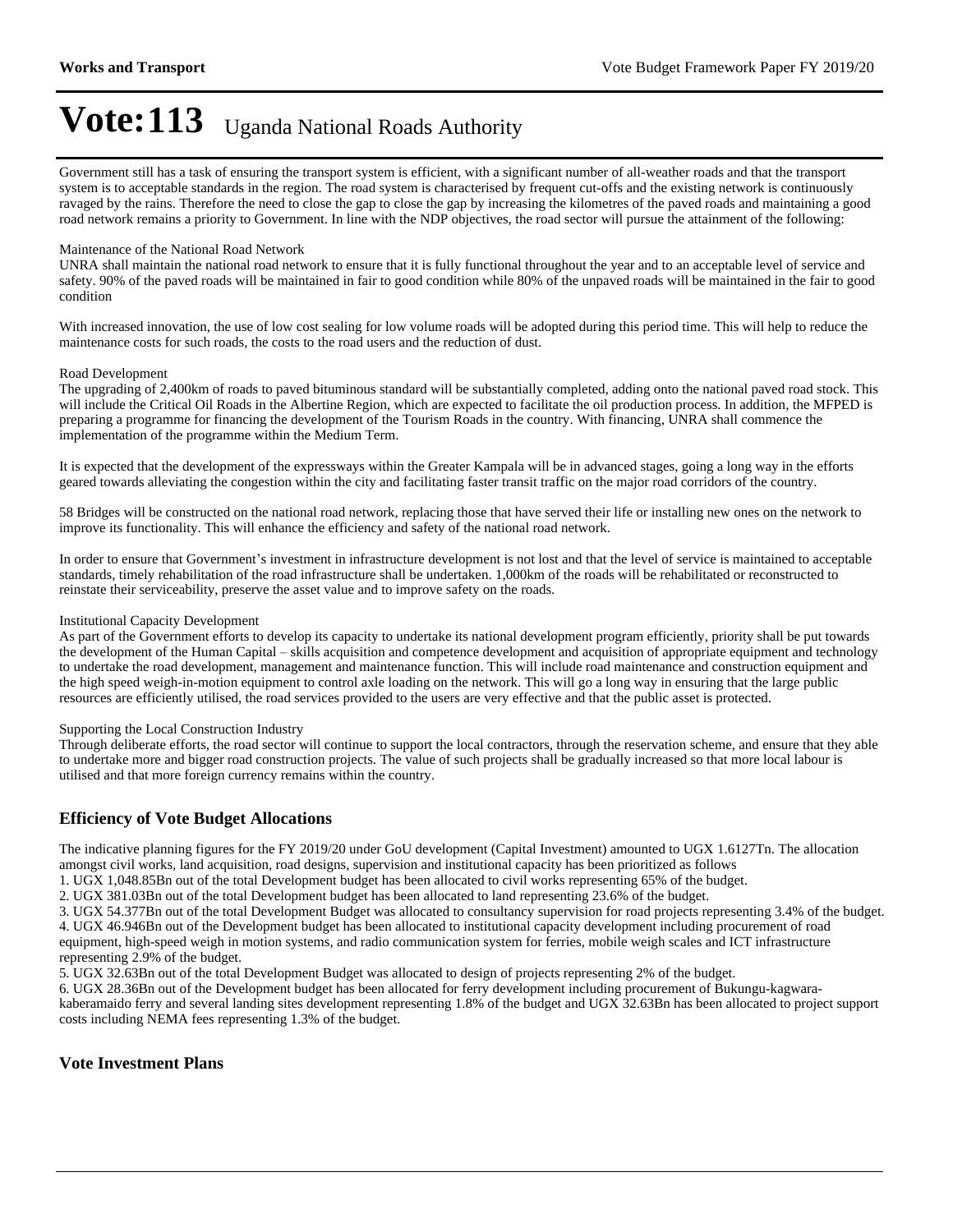Government still has a task of ensuring the transport system is efficient, with a significant number of all-weather roads and that the transport system is to acceptable standards in the region. The road system is characterised by frequent cut-offs and the existing network is continuously ravaged by the rains. Therefore the need to close the gap to close the gap by increasing the kilometres of the paved roads and maintaining a good road network remains a priority to Government. In line with the NDP objectives, the road sector will pursue the attainment of the following:

#### Maintenance of the National Road Network

UNRA shall maintain the national road network to ensure that it is fully functional throughout the year and to an acceptable level of service and safety. 90% of the paved roads will be maintained in fair to good condition while 80% of the unpaved roads will be maintained in the fair to good condition

With increased innovation, the use of low cost sealing for low volume roads will be adopted during this period time. This will help to reduce the maintenance costs for such roads, the costs to the road users and the reduction of dust.

#### Road Development

The upgrading of 2,400km of roads to paved bituminous standard will be substantially completed, adding onto the national paved road stock. This will include the Critical Oil Roads in the Albertine Region, which are expected to facilitate the oil production process. In addition, the MFPED is preparing a programme for financing the development of the Tourism Roads in the country. With financing, UNRA shall commence the implementation of the programme within the Medium Term.

It is expected that the development of the expressways within the Greater Kampala will be in advanced stages, going a long way in the efforts geared towards alleviating the congestion within the city and facilitating faster transit traffic on the major road corridors of the country.

58 Bridges will be constructed on the national road network, replacing those that have served their life or installing new ones on the network to improve its functionality. This will enhance the efficiency and safety of the national road network.

In order to ensure that Government's investment in infrastructure development is not lost and that the level of service is maintained to acceptable standards, timely rehabilitation of the road infrastructure shall be undertaken. 1,000km of the roads will be rehabilitated or reconstructed to reinstate their serviceability, preserve the asset value and to improve safety on the roads.

#### Institutional Capacity Development

As part of the Government efforts to develop its capacity to undertake its national development program efficiently, priority shall be put towards the development of the Human Capital – skills acquisition and competence development and acquisition of appropriate equipment and technology to undertake the road development, management and maintenance function. This will include road maintenance and construction equipment and the high speed weigh-in-motion equipment to control axle loading on the network. This will go a long way in ensuring that the large public resources are efficiently utilised, the road services provided to the users are very effective and that the public asset is protected.

#### Supporting the Local Construction Industry

Through deliberate efforts, the road sector will continue to support the local contractors, through the reservation scheme, and ensure that they able to undertake more and bigger road construction projects. The value of such projects shall be gradually increased so that more local labour is utilised and that more foreign currency remains within the country.

#### **Efficiency of Vote Budget Allocations**

The indicative planning figures for the FY 2019/20 under GoU development (Capital Investment) amounted to UGX 1.6127Tn. The allocation amongst civil works, land acquisition, road designs, supervision and institutional capacity has been prioritized as follows

1. UGX 1,048.85Bn out of the total Development budget has been allocated to civil works representing 65% of the budget.

2. UGX 381.03Bn out of the total Development budget has been allocated to land representing 23.6% of the budget.

3. UGX 54.377Bn out of the total Development Budget was allocated to consultancy supervision for road projects representing 3.4% of the budget.

4. UGX 46.946Bn out of the Development budget has been allocated to institutional capacity development including procurement of road equipment, high-speed weigh in motion systems, and radio communication system for ferries, mobile weigh scales and ICT infrastructure representing 2.9% of the budget.

5. UGX 32.63Bn out of the total Development Budget was allocated to design of projects representing 2% of the budget.

6. UGX 28.36Bn out of the Development budget has been allocated for ferry development including procurement of Bukungu-kagwarakaberamaido ferry and several landing sites development representing 1.8% of the budget and UGX 32.63Bn has been allocated to project support costs including NEMA fees representing 1.3% of the budget.

#### **Vote Investment Plans**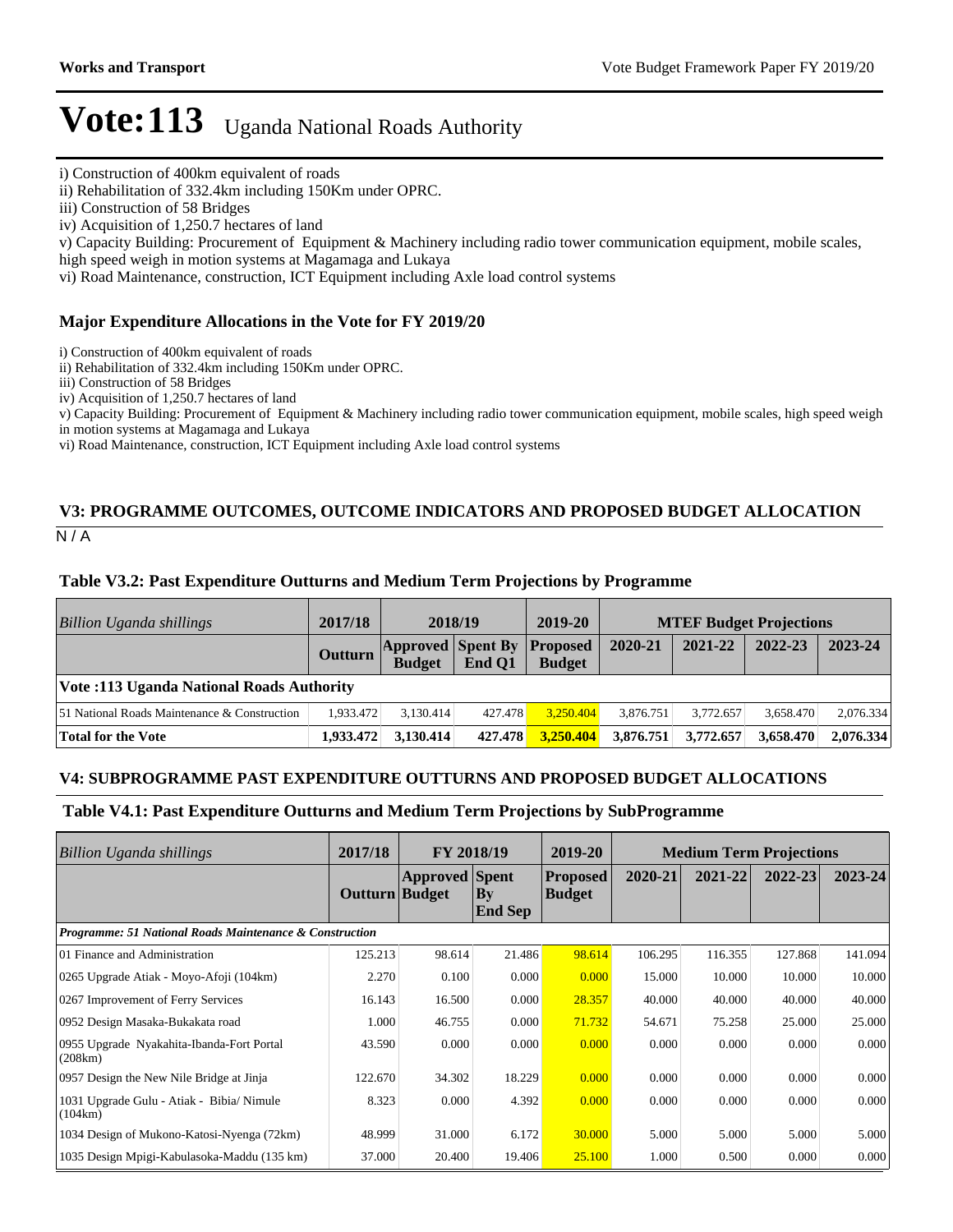ii) Rehabilitation of 332.4km including 150Km under OPRC.

v) Capacity Building: Procurement of Equipment & Machinery including radio tower communication equipment, mobile scales,

high speed weigh in motion systems at Magamaga and Lukaya

vi) Road Maintenance, construction, ICT Equipment including Axle load control systems

#### **Major Expenditure Allocations in the Vote for FY 2019/20**

i) Construction of 400km equivalent of roads

ii) Rehabilitation of 332.4km including 150Km under OPRC.

iii) Construction of 58 Bridges

iv) Acquisition of 1,250.7 hectares of land

v) Capacity Building: Procurement of Equipment & Machinery including radio tower communication equipment, mobile scales, high speed weigh in motion systems at Magamaga and Lukaya

vi) Road Maintenance, construction, ICT Equipment including Axle load control systems

### **V3: PROGRAMME OUTCOMES, OUTCOME INDICATORS AND PROPOSED BUDGET ALLOCATION**

 $N/A$ 

#### **Table V3.2: Past Expenditure Outturns and Medium Term Projections by Programme**

| Billion Uganda shillings                     | 2017/18        | 2018/19                                            |         | 2019-20       |           | <b>MTEF Budget Projections</b> |           |           |
|----------------------------------------------|----------------|----------------------------------------------------|---------|---------------|-----------|--------------------------------|-----------|-----------|
|                                              | <b>Outturn</b> | <b>Approved Spent By Proposed</b><br><b>Budget</b> | End O1  | <b>Budget</b> | 2020-21   | 2021-22                        | 2022-23   | 2023-24   |
| Vote: 113 Uganda National Roads Authority    |                |                                                    |         |               |           |                                |           |           |
| 51 National Roads Maintenance & Construction | 1.933.472      | 3.130.414                                          | 427.478 | 3.250.404     | 3.876.751 | 3.772.657                      | 3.658.470 | 2.076.334 |
| Total for the Vote                           | 1,933,472      | 3.130.414                                          | 427.478 | 3,250.404     | 3,876,751 | 3,772,657                      | 3.658.470 | 2.076.334 |

#### **V4: SUBPROGRAMME PAST EXPENDITURE OUTTURNS AND PROPOSED BUDGET ALLOCATIONS**

#### **Table V4.1: Past Expenditure Outturns and Medium Term Projections by SubProgramme**

| Billion Uganda shillings                                           | 2017/18        | <b>FY 2018/19</b>     |                                          | 2019-20                    | <b>Medium Term Projections</b> |         |         |             |
|--------------------------------------------------------------------|----------------|-----------------------|------------------------------------------|----------------------------|--------------------------------|---------|---------|-------------|
|                                                                    | Outturn Budget | <b>Approved</b> Spent | $\mathbf{B}\mathbf{v}$<br><b>End Sep</b> | <b>Proposed</b><br> Budget | 2020-21                        | 2021-22 | 2022-23 | $2023 - 24$ |
| <b>Programme: 51 National Roads Maintenance &amp; Construction</b> |                |                       |                                          |                            |                                |         |         |             |
| 01 Finance and Administration                                      | 125.213        | 98.614                | 21.486                                   | 98.614                     | 106.295                        | 116.355 | 127.868 | 141.094     |
| 0265 Upgrade Atiak - Moyo-Afoji (104km)                            | 2.270          | 0.100                 | 0.000                                    | 0.000                      | 15.000                         | 10.000  | 10.000  | 10.000      |
| 0267 Improvement of Ferry Services                                 | 16.143         | 16.500                | 0.000                                    | 28.357                     | 40.000                         | 40.000  | 40.000  | 40.000      |
| 0952 Design Masaka-Bukakata road                                   | 1.000          | 46.755                | 0.000                                    | 71.732                     | 54.671                         | 75.258  | 25.000  | 25.000      |
| 0955 Upgrade Nyakahita-Ibanda-Fort Portal<br>(208km)               | 43.590         | 0.000                 | 0.000                                    | 0.000                      | 0.000                          | 0.000   | 0.000   | 0.000       |
| 0957 Design the New Nile Bridge at Jinja                           | 122.670        | 34.302                | 18.229                                   | 0.000                      | 0.000                          | 0.000   | 0.000   | 0.000       |
| 1031 Upgrade Gulu - Atiak - Bibia/ Nimule<br>(104km)               | 8.323          | 0.000                 | 4.392                                    | 0.000                      | 0.000                          | 0.000   | 0.000   | 0.000       |
| 1034 Design of Mukono-Katosi-Nyenga (72km)                         | 48.999         | 31.000                | 6.172                                    | 30.000                     | 5.000                          | 5.000   | 5.000   | 5.000       |
| 1035 Design Mpigi-Kabulasoka-Maddu (135 km)                        | 37.000         | 20.400                | 19.406                                   | 25.100                     | 1.000                          | 0.500   | 0.000   | 0.000       |

i) Construction of 400km equivalent of roads

iii) Construction of 58 Bridges

iv) Acquisition of 1,250.7 hectares of land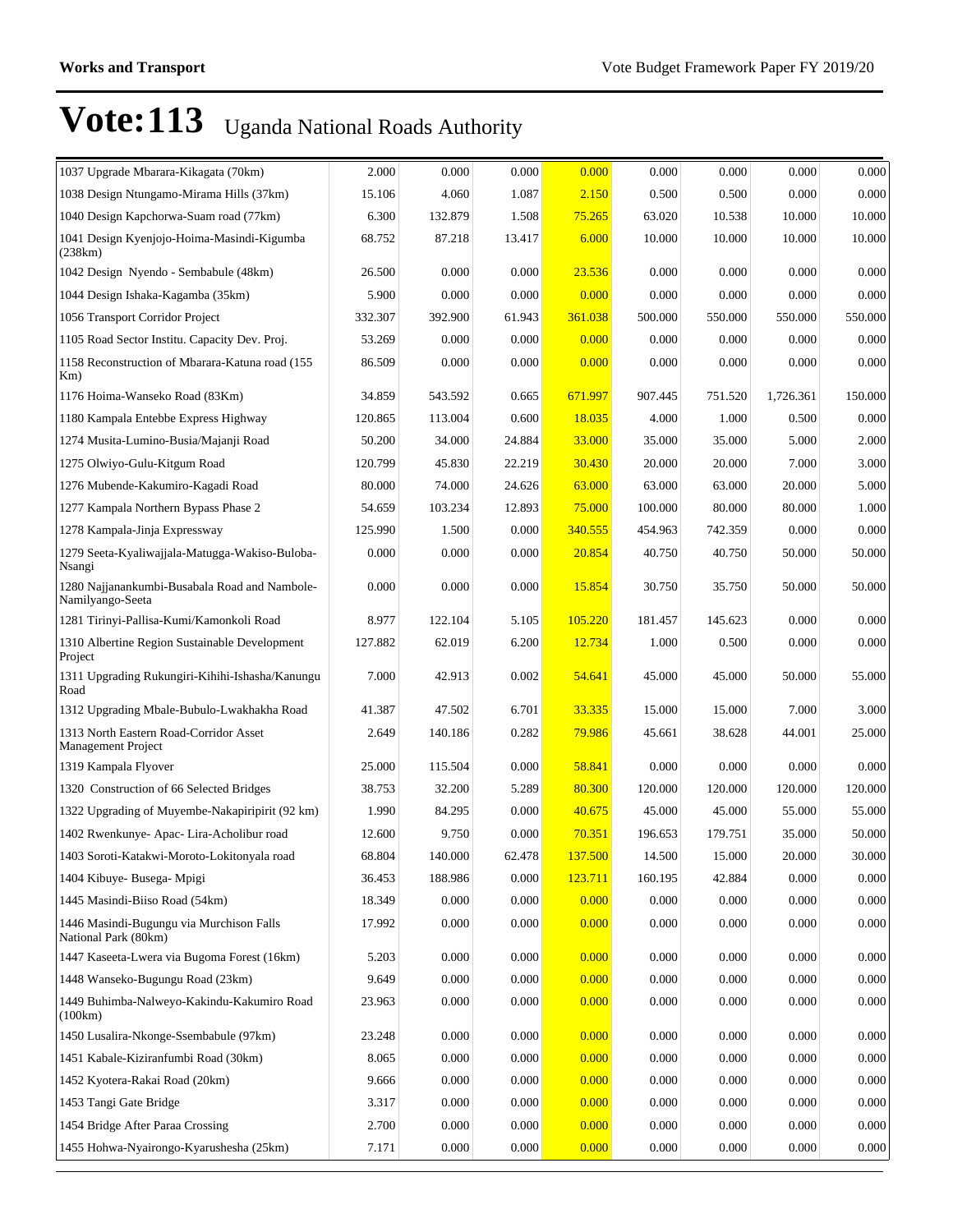| 1037 Upgrade Mbarara-Kikagata (70km)                              | 2.000   | 0.000   | 0.000  | 0.000         | 0.000   | 0.000   | 0.000     | 0.000   |
|-------------------------------------------------------------------|---------|---------|--------|---------------|---------|---------|-----------|---------|
| 1038 Design Ntungamo-Mirama Hills (37km)                          | 15.106  | 4.060   | 1.087  | 2.150         | 0.500   | 0.500   | 0.000     | 0.000   |
| 1040 Design Kapchorwa-Suam road (77km)                            | 6.300   | 132.879 | 1.508  | <u>75.265</u> | 63.020  | 10.538  | 10.000    | 10.000  |
| 1041 Design Kyenjojo-Hoima-Masindi-Kigumba<br>(238km)             | 68.752  | 87.218  | 13.417 | 6.000         | 10.000  | 10.000  | 10.000    | 10.000  |
| 1042 Design Nyendo - Sembabule (48km)                             | 26.500  | 0.000   | 0.000  | 23.536        | 0.000   | 0.000   | 0.000     | 0.000   |
| 1044 Design Ishaka-Kagamba (35km)                                 | 5.900   | 0.000   | 0.000  | 0.000         | 0.000   | 0.000   | 0.000     | 0.000   |
| 1056 Transport Corridor Project                                   | 332.307 | 392.900 | 61.943 | 361.038       | 500.000 | 550.000 | 550.000   | 550.000 |
| 1105 Road Sector Institu. Capacity Dev. Proj.                     | 53.269  | 0.000   | 0.000  | 0.000         | 0.000   | 0.000   | 0.000     | 0.000   |
| 1158 Reconstruction of Mbarara-Katuna road (155<br>$Km$ )         | 86.509  | 0.000   | 0.000  | 0.000         | 0.000   | 0.000   | 0.000     | 0.000   |
| 1176 Hoima-Wanseko Road (83Km)                                    | 34.859  | 543.592 | 0.665  | 671.997       | 907.445 | 751.520 | 1,726.361 | 150.000 |
| 1180 Kampala Entebbe Express Highway                              | 120.865 | 113.004 | 0.600  | 18.035        | 4.000   | 1.000   | 0.500     | 0.000   |
| 1274 Musita-Lumino-Busia/Majanji Road                             | 50.200  | 34.000  | 24.884 | 33.000        | 35.000  | 35.000  | 5.000     | 2.000   |
| 1275 Olwiyo-Gulu-Kitgum Road                                      | 120.799 | 45.830  | 22.219 | 30.430        | 20.000  | 20.000  | 7.000     | 3.000   |
| 1276 Mubende-Kakumiro-Kagadi Road                                 | 80.000  | 74.000  | 24.626 | 63.000        | 63.000  | 63.000  | 20.000    | 5.000   |
| 1277 Kampala Northern Bypass Phase 2                              | 54.659  | 103.234 | 12.893 | 75.000        | 100.000 | 80.000  | 80.000    | 1.000   |
| 1278 Kampala-Jinja Expressway                                     | 125.990 | 1.500   | 0.000  | 340.555       | 454.963 | 742.359 | 0.000     | 0.000   |
| 1279 Seeta-Kyaliwajjala-Matugga-Wakiso-Buloba-<br>Nsangi          | 0.000   | 0.000   | 0.000  | 20.854        | 40.750  | 40.750  | 50.000    | 50.000  |
| 1280 Najjanankumbi-Busabala Road and Nambole-<br>Namilyango-Seeta | 0.000   | 0.000   | 0.000  | 15.854        | 30.750  | 35.750  | 50.000    | 50.000  |
| 1281 Tirinyi-Pallisa-Kumi/Kamonkoli Road                          | 8.977   | 122.104 | 5.105  | 105.220       | 181.457 | 145.623 | 0.000     | 0.000   |
| 1310 Albertine Region Sustainable Development<br>Project          | 127.882 | 62.019  | 6.200  | 12.734        | 1.000   | 0.500   | 0.000     | 0.000   |
| 1311 Upgrading Rukungiri-Kihihi-Ishasha/Kanungu<br>Road           | 7.000   | 42.913  | 0.002  | 54.641        | 45.000  | 45.000  | 50.000    | 55.000  |
| 1312 Upgrading Mbale-Bubulo-Lwakhakha Road                        | 41.387  | 47.502  | 6.701  | 33.335        | 15.000  | 15.000  | 7.000     | 3.000   |
| 1313 North Eastern Road-Corridor Asset<br>Management Project      | 2.649   | 140.186 | 0.282  | 79.986        | 45.661  | 38.628  | 44.001    | 25.000  |
| 1319 Kampala Flyover                                              | 25.000  | 115.504 | 0.000  | 58.841        | 0.000   | 0.000   | 0.000     | 0.000   |
| 1320 Construction of 66 Selected Bridges                          | 38.753  | 32.200  | 5.289  | 80.300        | 120.000 | 120.000 | 120.000   | 120.000 |
| 1322 Upgrading of Muyembe-Nakapiripirit (92 km)                   | 1.990   | 84.295  | 0.000  | 40.675        | 45.000  | 45.000  | 55.000    | 55.000  |
| 1402 Rwenkunye- Apac- Lira-Acholibur road                         | 12.600  | 9.750   | 0.000  | 70.351        | 196.653 | 179.751 | 35.000    | 50.000  |
| 1403 Soroti-Katakwi-Moroto-Lokitonyala road                       | 68.804  | 140.000 | 62.478 | 137.500       | 14.500  | 15.000  | 20.000    | 30.000  |
| 1404 Kibuye- Busega- Mpigi                                        | 36.453  | 188.986 | 0.000  | 123.711       | 160.195 | 42.884  | 0.000     | 0.000   |
| 1445 Masindi-Biiso Road (54km)                                    | 18.349  | 0.000   | 0.000  | 0.000         | 0.000   | 0.000   | 0.000     | 0.000   |
| 1446 Masindi-Bugungu via Murchison Falls<br>National Park (80km)  | 17.992  | 0.000   | 0.000  | 0.000         | 0.000   | 0.000   | 0.000     | 0.000   |
| 1447 Kaseeta-Lwera via Bugoma Forest (16km)                       | 5.203   | 0.000   | 0.000  | 0.000         | 0.000   | 0.000   | 0.000     | 0.000   |
| 1448 Wanseko-Bugungu Road (23km)                                  | 9.649   | 0.000   | 0.000  | 0.000         | 0.000   | 0.000   | 0.000     | 0.000   |
| 1449 Buhimba-Nalweyo-Kakindu-Kakumiro Road<br>(100km)             | 23.963  | 0.000   | 0.000  | 0.000         | 0.000   | 0.000   | 0.000     | 0.000   |
| 1450 Lusalira-Nkonge-Ssembabule (97km)                            | 23.248  | 0.000   | 0.000  | 0.000         | 0.000   | 0.000   | 0.000     | 0.000   |
| 1451 Kabale-Kiziranfumbi Road (30km)                              | 8.065   | 0.000   | 0.000  | 0.000         | 0.000   | 0.000   | 0.000     | 0.000   |
| 1452 Kyotera-Rakai Road (20km)                                    | 9.666   | 0.000   | 0.000  | 0.000         | 0.000   | 0.000   | 0.000     | 0.000   |
| 1453 Tangi Gate Bridge                                            | 3.317   | 0.000   | 0.000  | 0.000         | 0.000   | 0.000   | 0.000     | 0.000   |
| 1454 Bridge After Paraa Crossing                                  | 2.700   | 0.000   | 0.000  | 0.000         | 0.000   | 0.000   | 0.000     | 0.000   |
| 1455 Hohwa-Nyairongo-Kyarushesha (25km)                           | 7.171   | 0.000   | 0.000  | 0.000         | 0.000   | 0.000   | 0.000     | 0.000   |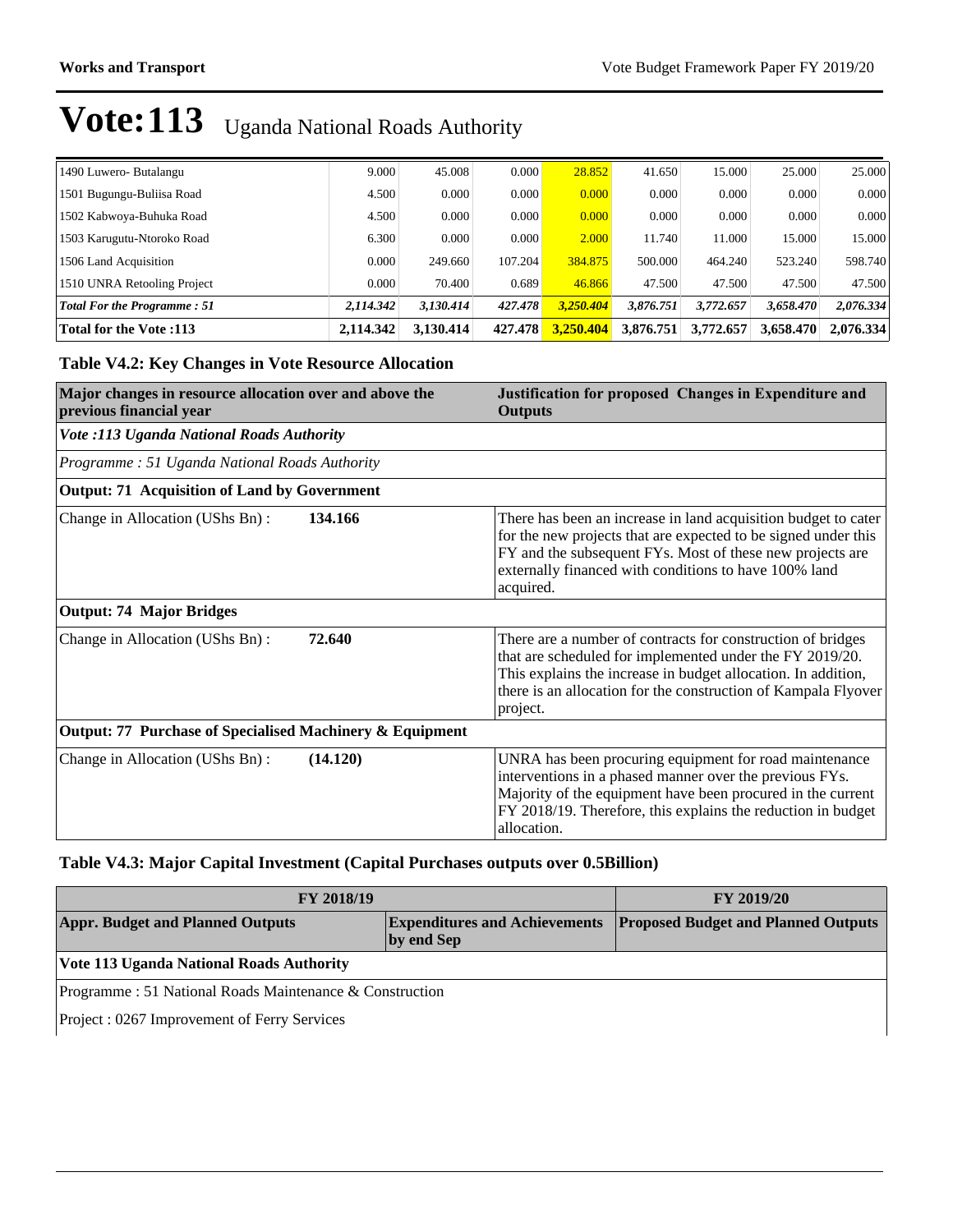| 1490 Luwero- Butalangu             | 9.000     | 45.008    | 0.000   | 28.852    | 41.650    | 15.000    | 25,000    | 25.000    |
|------------------------------------|-----------|-----------|---------|-----------|-----------|-----------|-----------|-----------|
| 1501 Bugungu-Buliisa Road          | 4.500     | 0.000     | 0.000   | 0.000     | 0.000     | 0.000     | 0.000     | 0.000     |
| 1502 Kabwoya-Buhuka Road           | 4.500     | 0.000     | 0.000   | 0.000     | 0.000     | 0.000     | 0.000     | 0.000     |
| 1503 Karugutu-Ntoroko Road         | 6.300     | 0.000     | 0.000   | 2.000     | 11.740    | 11.000    | 15.000    | 15.000    |
| 1506 Land Acquisition              | 0.000     | 249.660   | 107.204 | 384.875   | 500,000   | 464.240   | 523.240   | 598.740   |
| 1510 UNRA Retooling Project        | 0.000     | 70.400    | 0.689   | 46.866    | 47.500    | 47.500    | 47.500    | 47.500    |
| <b>Total For the Programme: 51</b> | 2.114.342 | 3.130.414 | 427.478 | 3.250.404 | 3.876.751 | 3.772.657 | 3.658.470 | 2,076.334 |
| <b>Total for the Vote:113</b>      | 2,114,342 | 3.130.414 | 427.478 | 3.250.404 | 3.876.751 | 3,772,657 | 3,658,470 | 2,076.334 |

#### **Table V4.2: Key Changes in Vote Resource Allocation**

| Major changes in resource allocation over and above the<br>previous financial year | Justification for proposed Changes in Expenditure and<br><b>Outputs</b>                                                                                                                                                                                                |  |  |
|------------------------------------------------------------------------------------|------------------------------------------------------------------------------------------------------------------------------------------------------------------------------------------------------------------------------------------------------------------------|--|--|
| <b>Vote :113 Uganda National Roads Authority</b>                                   |                                                                                                                                                                                                                                                                        |  |  |
| Programme: 51 Uganda National Roads Authority                                      |                                                                                                                                                                                                                                                                        |  |  |
| <b>Output: 71 Acquisition of Land by Government</b>                                |                                                                                                                                                                                                                                                                        |  |  |
| Change in Allocation (UShs Bn):<br>134.166                                         | There has been an increase in land acquisition budget to cater<br>for the new projects that are expected to be signed under this<br>FY and the subsequent FYs. Most of these new projects are<br>externally financed with conditions to have 100% land<br>acquired.    |  |  |
| <b>Output: 74 Major Bridges</b>                                                    |                                                                                                                                                                                                                                                                        |  |  |
| Change in Allocation (UShs Bn):<br>72.640                                          | There are a number of contracts for construction of bridges<br>that are scheduled for implemented under the FY 2019/20.<br>This explains the increase in budget allocation. In addition,<br>there is an allocation for the construction of Kampala Flyover<br>project. |  |  |
| <b>Output: 77 Purchase of Specialised Machinery &amp; Equipment</b>                |                                                                                                                                                                                                                                                                        |  |  |
| Change in Allocation (UShs Bn):<br>(14.120)                                        | UNRA has been procuring equipment for road maintenance<br>interventions in a phased manner over the previous FYs.<br>Majority of the equipment have been procured in the current<br>FY 2018/19. Therefore, this explains the reduction in budget<br>allocation.        |  |  |

#### **Table V4.3: Major Capital Investment (Capital Purchases outputs over 0.5Billion)**

| <b>FY 2018/19</b>                                                                             | <b>FY 2019/20</b>                          |  |  |  |  |
|-----------------------------------------------------------------------------------------------|--------------------------------------------|--|--|--|--|
| <b>Appr. Budget and Planned Outputs</b><br><b>Expenditures and Achievements</b><br>by end Sep | <b>Proposed Budget and Planned Outputs</b> |  |  |  |  |
| Vote 113 Uganda National Roads Authority                                                      |                                            |  |  |  |  |
| Programme : 51 National Roads Maintenance $\&$ Construction                                   |                                            |  |  |  |  |
| Project : 0267 Improvement of Ferry Services                                                  |                                            |  |  |  |  |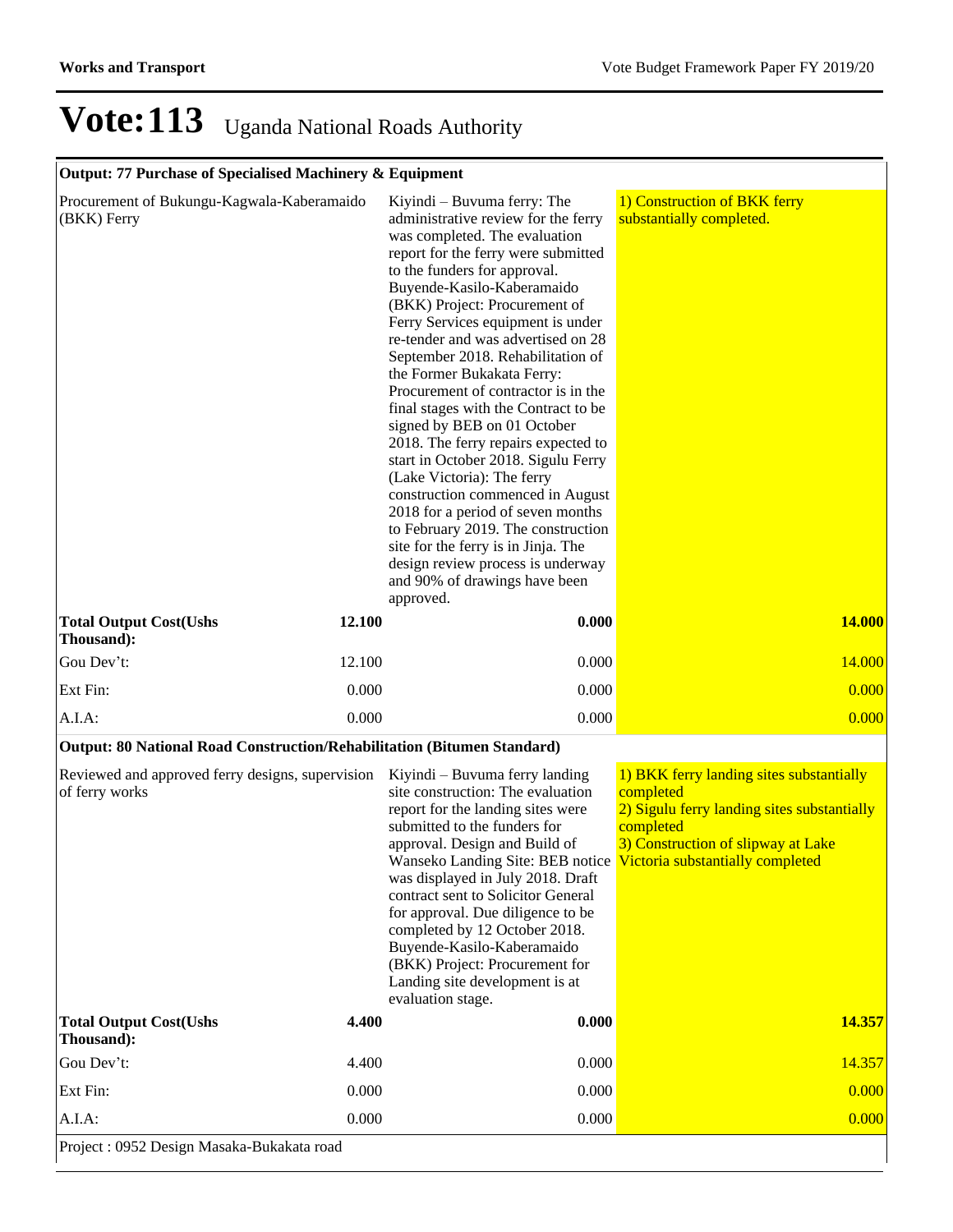### **Output: 77 Purchase of Specialised Machinery & Equipment**

| Procurement of Bukungu-Kagwala-Kaberamaido<br>(BKK) Ferry               |        | Kiyindi – Buvuma ferry: The<br>administrative review for the ferry<br>was completed. The evaluation<br>report for the ferry were submitted<br>to the funders for approval.<br>Buyende-Kasilo-Kaberamaido<br>(BKK) Project: Procurement of<br>Ferry Services equipment is under<br>re-tender and was advertised on 28<br>September 2018. Rehabilitation of<br>the Former Bukakata Ferry:<br>Procurement of contractor is in the<br>final stages with the Contract to be<br>signed by BEB on 01 October<br>2018. The ferry repairs expected to<br>start in October 2018. Sigulu Ferry<br>(Lake Victoria): The ferry<br>construction commenced in August<br>2018 for a period of seven months<br>to February 2019. The construction<br>site for the ferry is in Jinja. The<br>design review process is underway<br>and 90% of drawings have been<br>approved. | 1) Construction of BKK ferry<br>substantially completed.                                                                                                                                    |
|-------------------------------------------------------------------------|--------|------------------------------------------------------------------------------------------------------------------------------------------------------------------------------------------------------------------------------------------------------------------------------------------------------------------------------------------------------------------------------------------------------------------------------------------------------------------------------------------------------------------------------------------------------------------------------------------------------------------------------------------------------------------------------------------------------------------------------------------------------------------------------------------------------------------------------------------------------------|---------------------------------------------------------------------------------------------------------------------------------------------------------------------------------------------|
| <b>Total Output Cost(Ushs</b><br>Thousand):                             | 12.100 | 0.000                                                                                                                                                                                                                                                                                                                                                                                                                                                                                                                                                                                                                                                                                                                                                                                                                                                      | <b>14.000</b>                                                                                                                                                                               |
| Gou Dev't:                                                              | 12.100 | 0.000                                                                                                                                                                                                                                                                                                                                                                                                                                                                                                                                                                                                                                                                                                                                                                                                                                                      | 14.000                                                                                                                                                                                      |
| Ext Fin:                                                                | 0.000  | 0.000                                                                                                                                                                                                                                                                                                                                                                                                                                                                                                                                                                                                                                                                                                                                                                                                                                                      | 0.000                                                                                                                                                                                       |
| $A.I.A$ :                                                               | 0.000  | 0.000                                                                                                                                                                                                                                                                                                                                                                                                                                                                                                                                                                                                                                                                                                                                                                                                                                                      | 0.000                                                                                                                                                                                       |
| Output: 80 National Road Construction/Rehabilitation (Bitumen Standard) |        |                                                                                                                                                                                                                                                                                                                                                                                                                                                                                                                                                                                                                                                                                                                                                                                                                                                            |                                                                                                                                                                                             |
| Reviewed and approved ferry designs, supervision<br>of ferry works      |        | Kiyindi – Buvuma ferry landing<br>site construction: The evaluation<br>report for the landing sites were<br>submitted to the funders for<br>approval. Design and Build of<br>Wanseko Landing Site: BEB notice<br>was displayed in July 2018. Draft<br>contract sent to Solicitor General<br>for approval. Due diligence to be<br>completed by 12 October 2018.<br>Buyende-Kasilo-Kaberamaido<br>(BKK) Project: Procurement for<br>Landing site development is at<br>evaluation stage.                                                                                                                                                                                                                                                                                                                                                                      | 1) BKK ferry landing sites substantially<br>completed<br>2) Sigulu ferry landing sites substantially<br>completed<br>3) Construction of slipway at Lake<br>Victoria substantially completed |
| <b>Total Output Cost(Ushs</b><br>Thousand):                             | 4.400  | 0.000                                                                                                                                                                                                                                                                                                                                                                                                                                                                                                                                                                                                                                                                                                                                                                                                                                                      | 14.357                                                                                                                                                                                      |
| Gou Dev't:                                                              | 4.400  | 0.000                                                                                                                                                                                                                                                                                                                                                                                                                                                                                                                                                                                                                                                                                                                                                                                                                                                      | 14.357                                                                                                                                                                                      |
| Ext Fin:                                                                | 0.000  | 0.000                                                                                                                                                                                                                                                                                                                                                                                                                                                                                                                                                                                                                                                                                                                                                                                                                                                      | 0.000                                                                                                                                                                                       |
| A.I.A:                                                                  | 0.000  | 0.000                                                                                                                                                                                                                                                                                                                                                                                                                                                                                                                                                                                                                                                                                                                                                                                                                                                      | 0.000                                                                                                                                                                                       |
| Project: 0952 Design Masaka-Bukakata road                               |        |                                                                                                                                                                                                                                                                                                                                                                                                                                                                                                                                                                                                                                                                                                                                                                                                                                                            |                                                                                                                                                                                             |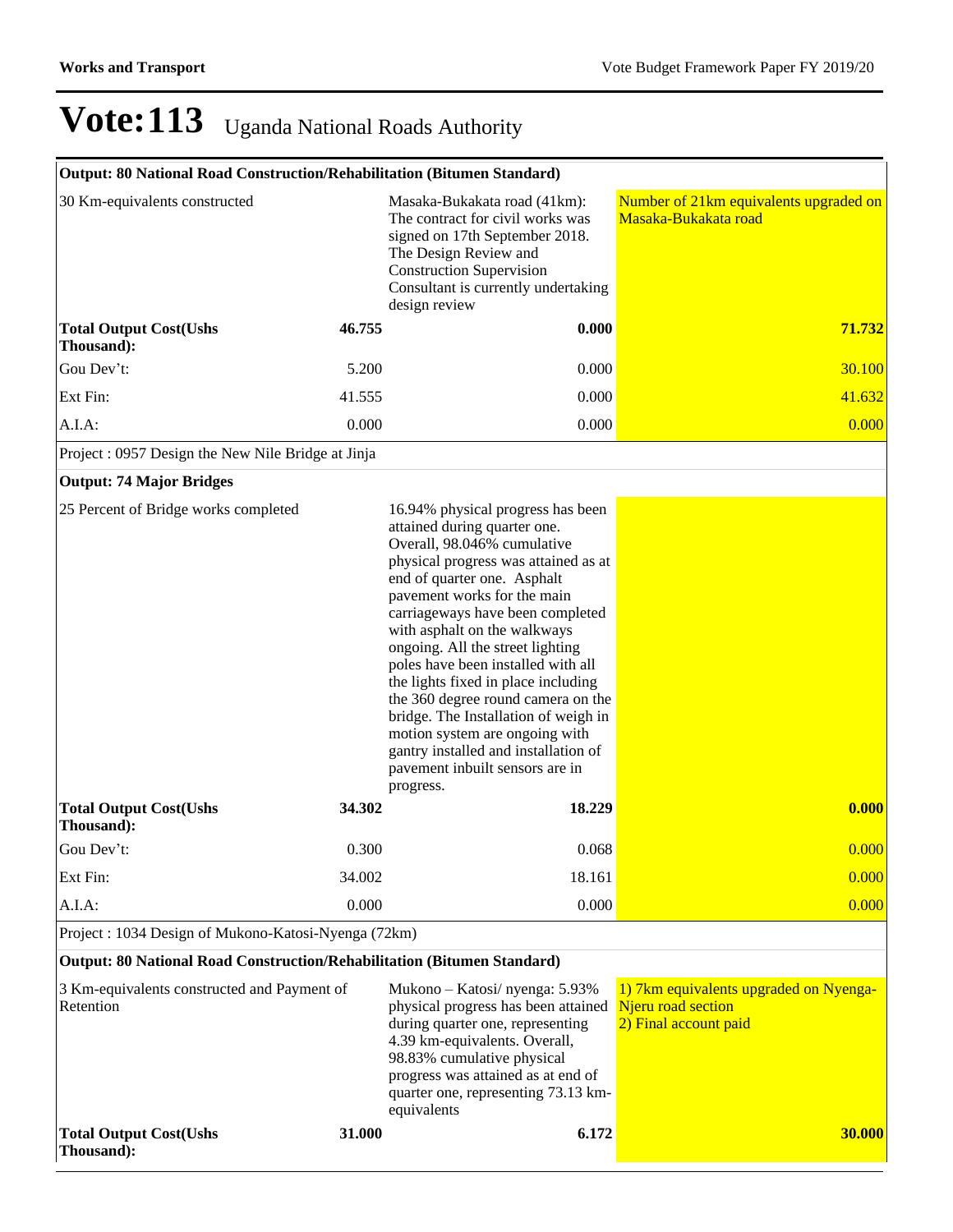| Output: 80 National Road Construction/Rehabilitation (Bitumen Standard) |        |                                                                                                                                                                                                                                                                                                                                                                                                                                                                                                                                                                                                     |                                                                                       |
|-------------------------------------------------------------------------|--------|-----------------------------------------------------------------------------------------------------------------------------------------------------------------------------------------------------------------------------------------------------------------------------------------------------------------------------------------------------------------------------------------------------------------------------------------------------------------------------------------------------------------------------------------------------------------------------------------------------|---------------------------------------------------------------------------------------|
| 30 Km-equivalents constructed                                           |        | Masaka-Bukakata road (41km):<br>The contract for civil works was<br>signed on 17th September 2018.<br>The Design Review and<br><b>Construction Supervision</b><br>Consultant is currently undertaking<br>design review                                                                                                                                                                                                                                                                                                                                                                              | Number of 21km equivalents upgraded on<br>Masaka-Bukakata road                        |
| <b>Total Output Cost(Ushs</b><br>Thousand):                             | 46.755 | 0.000                                                                                                                                                                                                                                                                                                                                                                                                                                                                                                                                                                                               | 71.732                                                                                |
| Gou Dev't:                                                              | 5.200  | 0.000                                                                                                                                                                                                                                                                                                                                                                                                                                                                                                                                                                                               | 30.100                                                                                |
| Ext Fin:                                                                | 41.555 | 0.000                                                                                                                                                                                                                                                                                                                                                                                                                                                                                                                                                                                               | 41.632                                                                                |
| A.I.A:                                                                  | 0.000  | 0.000                                                                                                                                                                                                                                                                                                                                                                                                                                                                                                                                                                                               | 0.000                                                                                 |
| Project: 0957 Design the New Nile Bridge at Jinja                       |        |                                                                                                                                                                                                                                                                                                                                                                                                                                                                                                                                                                                                     |                                                                                       |
| <b>Output: 74 Major Bridges</b>                                         |        |                                                                                                                                                                                                                                                                                                                                                                                                                                                                                                                                                                                                     |                                                                                       |
| 25 Percent of Bridge works completed                                    |        | 16.94% physical progress has been<br>attained during quarter one.<br>Overall, 98.046% cumulative<br>physical progress was attained as at<br>end of quarter one. Asphalt<br>pavement works for the main<br>carriageways have been completed<br>with asphalt on the walkways<br>ongoing. All the street lighting<br>poles have been installed with all<br>the lights fixed in place including<br>the 360 degree round camera on the<br>bridge. The Installation of weigh in<br>motion system are ongoing with<br>gantry installed and installation of<br>pavement inbuilt sensors are in<br>progress. |                                                                                       |
| <b>Total Output Cost(Ushs</b><br>Thousand):                             | 34.302 | 18.229                                                                                                                                                                                                                                                                                                                                                                                                                                                                                                                                                                                              | 0.000                                                                                 |
| Gou Dev't:                                                              | 0.300  | 0.068                                                                                                                                                                                                                                                                                                                                                                                                                                                                                                                                                                                               | 0.000                                                                                 |
| Ext Fin:                                                                | 34.002 | 18.161                                                                                                                                                                                                                                                                                                                                                                                                                                                                                                                                                                                              | 0.000                                                                                 |
| A.I.A:                                                                  | 0.000  | 0.000                                                                                                                                                                                                                                                                                                                                                                                                                                                                                                                                                                                               | 0.000                                                                                 |
| Project: 1034 Design of Mukono-Katosi-Nyenga (72km)                     |        |                                                                                                                                                                                                                                                                                                                                                                                                                                                                                                                                                                                                     |                                                                                       |
| Output: 80 National Road Construction/Rehabilitation (Bitumen Standard) |        |                                                                                                                                                                                                                                                                                                                                                                                                                                                                                                                                                                                                     |                                                                                       |
| 3 Km-equivalents constructed and Payment of<br>Retention                |        | Mukono - Katosi/ nyenga: 5.93%<br>physical progress has been attained<br>during quarter one, representing<br>4.39 km-equivalents. Overall,<br>98.83% cumulative physical<br>progress was attained as at end of<br>quarter one, representing 73.13 km-<br>equivalents                                                                                                                                                                                                                                                                                                                                | 1) 7km equivalents upgraded on Nyenga-<br>Njeru road section<br>2) Final account paid |
| <b>Total Output Cost(Ushs</b><br>Thousand):                             | 31.000 | 6.172                                                                                                                                                                                                                                                                                                                                                                                                                                                                                                                                                                                               | <b>30.000</b>                                                                         |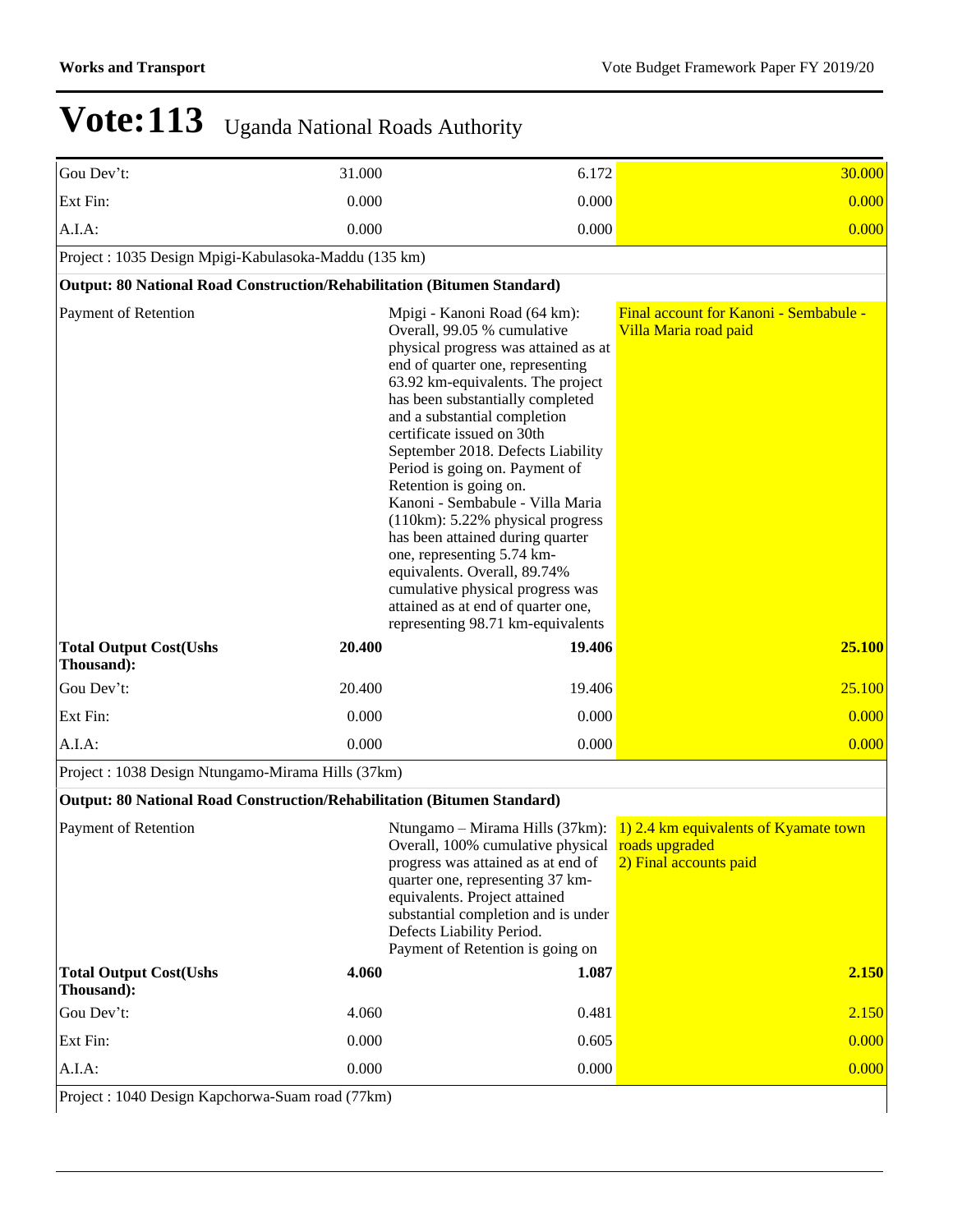| Gou Dev't:                                                              | 31.000 | 6.172                                                                                                                                                                                                                                                                                                                                                                                                                                                                                                                                                                                                                                                                    | 30.000                                                                                                   |  |  |  |  |  |
|-------------------------------------------------------------------------|--------|--------------------------------------------------------------------------------------------------------------------------------------------------------------------------------------------------------------------------------------------------------------------------------------------------------------------------------------------------------------------------------------------------------------------------------------------------------------------------------------------------------------------------------------------------------------------------------------------------------------------------------------------------------------------------|----------------------------------------------------------------------------------------------------------|--|--|--|--|--|
| Ext Fin:                                                                | 0.000  | 0.000                                                                                                                                                                                                                                                                                                                                                                                                                                                                                                                                                                                                                                                                    | 0.000                                                                                                    |  |  |  |  |  |
| A.I.A.                                                                  | 0.000  | 0.000                                                                                                                                                                                                                                                                                                                                                                                                                                                                                                                                                                                                                                                                    | 0.000                                                                                                    |  |  |  |  |  |
| Project: 1035 Design Mpigi-Kabulasoka-Maddu (135 km)                    |        |                                                                                                                                                                                                                                                                                                                                                                                                                                                                                                                                                                                                                                                                          |                                                                                                          |  |  |  |  |  |
| Output: 80 National Road Construction/Rehabilitation (Bitumen Standard) |        |                                                                                                                                                                                                                                                                                                                                                                                                                                                                                                                                                                                                                                                                          |                                                                                                          |  |  |  |  |  |
| Payment of Retention                                                    |        | Mpigi - Kanoni Road (64 km):<br>Overall, 99.05 % cumulative<br>physical progress was attained as at<br>end of quarter one, representing<br>63.92 km-equivalents. The project<br>has been substantially completed<br>and a substantial completion<br>certificate issued on 30th<br>September 2018. Defects Liability<br>Period is going on. Payment of<br>Retention is going on.<br>Kanoni - Sembabule - Villa Maria<br>(110km): 5.22% physical progress<br>has been attained during quarter<br>one, representing 5.74 km-<br>equivalents. Overall, 89.74%<br>cumulative physical progress was<br>attained as at end of quarter one,<br>representing 98.71 km-equivalents | Final account for Kanoni - Sembabule -<br>Villa Maria road paid                                          |  |  |  |  |  |
| <b>Total Output Cost(Ushs</b><br>Thousand):                             | 20.400 | 19.406                                                                                                                                                                                                                                                                                                                                                                                                                                                                                                                                                                                                                                                                   | 25.100                                                                                                   |  |  |  |  |  |
| Gou Dev't:                                                              | 20.400 | 19.406                                                                                                                                                                                                                                                                                                                                                                                                                                                                                                                                                                                                                                                                   | 25.100                                                                                                   |  |  |  |  |  |
| Ext Fin:                                                                | 0.000  | 0.000                                                                                                                                                                                                                                                                                                                                                                                                                                                                                                                                                                                                                                                                    | 0.000                                                                                                    |  |  |  |  |  |
|                                                                         |        |                                                                                                                                                                                                                                                                                                                                                                                                                                                                                                                                                                                                                                                                          |                                                                                                          |  |  |  |  |  |
| A.I.A:                                                                  | 0.000  | 0.000                                                                                                                                                                                                                                                                                                                                                                                                                                                                                                                                                                                                                                                                    | 0.000                                                                                                    |  |  |  |  |  |
| Project: 1038 Design Ntungamo-Mirama Hills (37km)                       |        |                                                                                                                                                                                                                                                                                                                                                                                                                                                                                                                                                                                                                                                                          |                                                                                                          |  |  |  |  |  |
| Output: 80 National Road Construction/Rehabilitation (Bitumen Standard) |        |                                                                                                                                                                                                                                                                                                                                                                                                                                                                                                                                                                                                                                                                          |                                                                                                          |  |  |  |  |  |
| Payment of Retention                                                    |        | Overall, 100% cumulative physical roads upgraded<br>progress was attained as at end of<br>quarter one, representing 37 km-<br>equivalents. Project attained<br>substantial completion and is under<br>Defects Liability Period.<br>Payment of Retention is going on                                                                                                                                                                                                                                                                                                                                                                                                      | Ntungamo – Mirama Hills (37km): $\boxed{1}$ 2.4 km equivalents of Kyamate town<br>2) Final accounts paid |  |  |  |  |  |
| <b>Total Output Cost(Ushs</b><br>Thousand):                             | 4.060  | 1.087                                                                                                                                                                                                                                                                                                                                                                                                                                                                                                                                                                                                                                                                    | 2.150                                                                                                    |  |  |  |  |  |
| Gou Dev't:                                                              | 4.060  | 0.481                                                                                                                                                                                                                                                                                                                                                                                                                                                                                                                                                                                                                                                                    | 2.150                                                                                                    |  |  |  |  |  |
| Ext Fin:                                                                | 0.000  | 0.605                                                                                                                                                                                                                                                                                                                                                                                                                                                                                                                                                                                                                                                                    | 0.000                                                                                                    |  |  |  |  |  |
| A.I.A:                                                                  | 0.000  | 0.000                                                                                                                                                                                                                                                                                                                                                                                                                                                                                                                                                                                                                                                                    | 0.000                                                                                                    |  |  |  |  |  |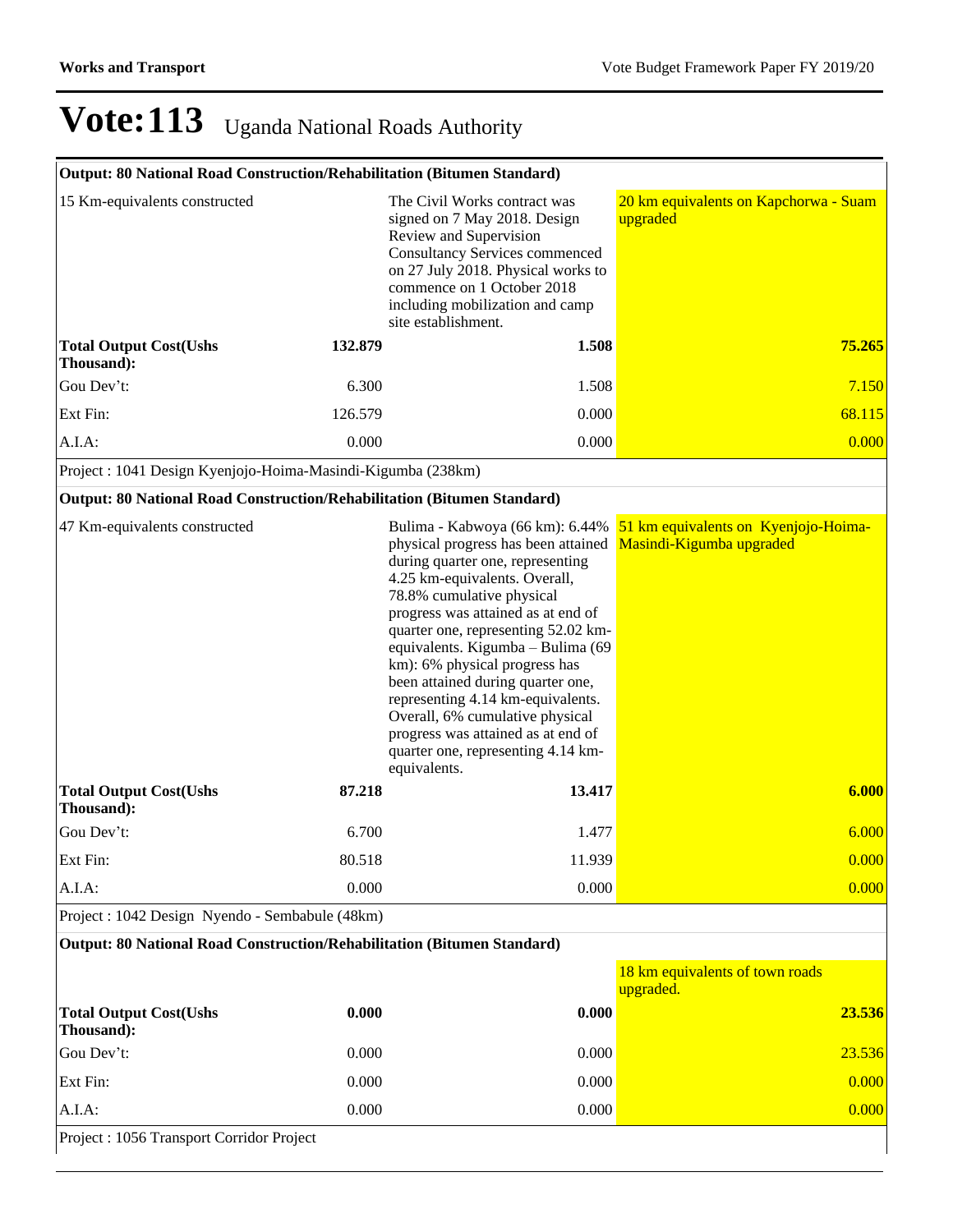| Output: 80 National Road Construction/Rehabilitation (Bitumen Standard) |         |                                                                                                                                                                                                                                                                                                                                                                                                                                                                                                                                      |                                                                  |
|-------------------------------------------------------------------------|---------|--------------------------------------------------------------------------------------------------------------------------------------------------------------------------------------------------------------------------------------------------------------------------------------------------------------------------------------------------------------------------------------------------------------------------------------------------------------------------------------------------------------------------------------|------------------------------------------------------------------|
| 15 Km-equivalents constructed                                           |         | The Civil Works contract was<br>signed on 7 May 2018. Design<br>Review and Supervision<br><b>Consultancy Services commenced</b><br>on 27 July 2018. Physical works to<br>commence on 1 October 2018<br>including mobilization and camp<br>site establishment.                                                                                                                                                                                                                                                                        | 20 km equivalents on Kapchorwa - Suam<br>upgraded                |
| <b>Total Output Cost(Ushs</b><br>Thousand):                             | 132.879 | 1.508                                                                                                                                                                                                                                                                                                                                                                                                                                                                                                                                | 75.265                                                           |
| Gou Dev't:                                                              | 6.300   | 1.508                                                                                                                                                                                                                                                                                                                                                                                                                                                                                                                                | 7.150                                                            |
| Ext Fin:                                                                | 126.579 | 0.000                                                                                                                                                                                                                                                                                                                                                                                                                                                                                                                                | 68.115                                                           |
| $A.I.A$ :                                                               | 0.000   | 0.000                                                                                                                                                                                                                                                                                                                                                                                                                                                                                                                                | 0.000                                                            |
| Project : 1041 Design Kyenjojo-Hoima-Masindi-Kigumba (238km)            |         |                                                                                                                                                                                                                                                                                                                                                                                                                                                                                                                                      |                                                                  |
| Output: 80 National Road Construction/Rehabilitation (Bitumen Standard) |         |                                                                                                                                                                                                                                                                                                                                                                                                                                                                                                                                      |                                                                  |
| 47 Km-equivalents constructed                                           |         | Bulima - Kabwoya (66 km): 6.44%<br>physical progress has been attained<br>during quarter one, representing<br>4.25 km-equivalents. Overall,<br>78.8% cumulative physical<br>progress was attained as at end of<br>quarter one, representing 52.02 km-<br>equivalents. Kigumba - Bulima (69<br>km): 6% physical progress has<br>been attained during quarter one,<br>representing 4.14 km-equivalents.<br>Overall, 6% cumulative physical<br>progress was attained as at end of<br>quarter one, representing 4.14 km-<br>equivalents. | 51 km equivalents on Kyenjojo-Hoima-<br>Masindi-Kigumba upgraded |
| <b>Total Output Cost(Ushs</b><br>Thousand):                             | 87.218  | 13.417                                                                                                                                                                                                                                                                                                                                                                                                                                                                                                                               | 6.000                                                            |
| Gou Dev't:                                                              | 6.700   | 1.477                                                                                                                                                                                                                                                                                                                                                                                                                                                                                                                                | 6.000                                                            |
| Ext Fin:                                                                | 80.518  | 11.939                                                                                                                                                                                                                                                                                                                                                                                                                                                                                                                               | 0.000                                                            |
| A.I.A.                                                                  | 0.000   | 0.000                                                                                                                                                                                                                                                                                                                                                                                                                                                                                                                                | 0.000                                                            |
| Project : 1042 Design Nyendo - Sembabule (48km)                         |         |                                                                                                                                                                                                                                                                                                                                                                                                                                                                                                                                      |                                                                  |
| Output: 80 National Road Construction/Rehabilitation (Bitumen Standard) |         |                                                                                                                                                                                                                                                                                                                                                                                                                                                                                                                                      |                                                                  |
|                                                                         |         |                                                                                                                                                                                                                                                                                                                                                                                                                                                                                                                                      | 18 km equivalents of town roads<br>upgraded.                     |
| <b>Total Output Cost(Ushs</b><br>Thousand):                             | 0.000   | 0.000                                                                                                                                                                                                                                                                                                                                                                                                                                                                                                                                | 23.536                                                           |
| Gou Dev't:                                                              | 0.000   | 0.000                                                                                                                                                                                                                                                                                                                                                                                                                                                                                                                                | 23.536                                                           |
| Ext Fin:                                                                | 0.000   | 0.000                                                                                                                                                                                                                                                                                                                                                                                                                                                                                                                                | 0.000                                                            |

A.I.A: 0.000 0.000 0.000

Project : 1056 Transport Corridor Project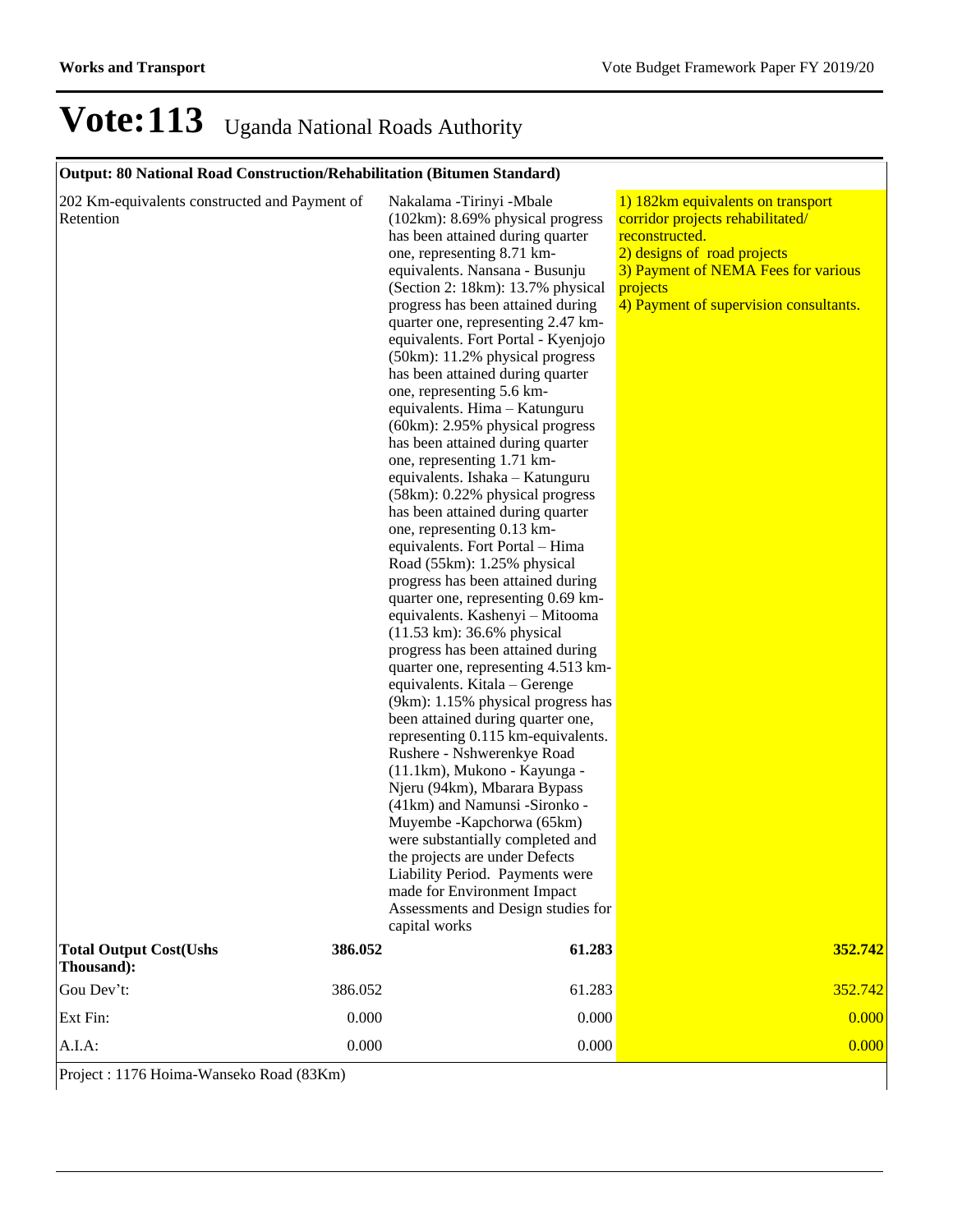#### **Output: 80 National Road Construction/Rehabilitation (Bitumen Standard)**

| 202 Km-equivalents constructed and Payment of<br>Retention | Nakalama - Tirinyi - Mbale<br>(102km): 8.69% physical progress<br>has been attained during quarter<br>one, representing 8.71 km-<br>equivalents. Nansana - Busunju<br>(Section 2: 18km): 13.7% physical<br>progress has been attained during<br>quarter one, representing 2.47 km-<br>equivalents. Fort Portal - Kyenjojo<br>(50km): 11.2% physical progress<br>has been attained during quarter<br>one, representing 5.6 km-<br>equivalents. Hima - Katunguru<br>(60km): 2.95% physical progress<br>has been attained during quarter<br>one, representing 1.71 km-<br>equivalents. Ishaka - Katunguru<br>(58km): 0.22% physical progress<br>has been attained during quarter<br>one, representing 0.13 km-<br>equivalents. Fort Portal - Hima<br>Road (55km): 1.25% physical<br>progress has been attained during<br>quarter one, representing 0.69 km-<br>equivalents. Kashenyi - Mitooma<br>(11.53 km): 36.6% physical<br>progress has been attained during<br>quarter one, representing 4.513 km-<br>equivalents. Kitala - Gerenge<br>(9km): 1.15% physical progress has<br>been attained during quarter one,<br>representing 0.115 km-equivalents.<br>Rushere - Nshwerenkye Road<br>(11.1km), Mukono - Kayunga -<br>Njeru (94km), Mbarara Bypass<br>(41km) and Namunsi -Sironko -<br>Muyembe - Kapchorwa (65km)<br>were substantially completed and<br>the projects are under Defects<br>Liability Period. Payments were<br>made for Environment Impact<br>Assessments and Design studies for<br>capital works | 1) 182km equivalents on transport<br>corridor projects rehabilitated/<br>reconstructed.<br>2) designs of road projects<br>3) Payment of NEMA Fees for various<br>projects<br>4) Payment of supervision consultants. |
|------------------------------------------------------------|---------------------------------------------------------------------------------------------------------------------------------------------------------------------------------------------------------------------------------------------------------------------------------------------------------------------------------------------------------------------------------------------------------------------------------------------------------------------------------------------------------------------------------------------------------------------------------------------------------------------------------------------------------------------------------------------------------------------------------------------------------------------------------------------------------------------------------------------------------------------------------------------------------------------------------------------------------------------------------------------------------------------------------------------------------------------------------------------------------------------------------------------------------------------------------------------------------------------------------------------------------------------------------------------------------------------------------------------------------------------------------------------------------------------------------------------------------------------------------------------------------------------|---------------------------------------------------------------------------------------------------------------------------------------------------------------------------------------------------------------------|
| <b>Total Output Cost(Ushs</b><br>386.052<br>Thousand):     | 61.283                                                                                                                                                                                                                                                                                                                                                                                                                                                                                                                                                                                                                                                                                                                                                                                                                                                                                                                                                                                                                                                                                                                                                                                                                                                                                                                                                                                                                                                                                                              | 352.742                                                                                                                                                                                                             |
| Gou Dev't:<br>386.052                                      | 61.283                                                                                                                                                                                                                                                                                                                                                                                                                                                                                                                                                                                                                                                                                                                                                                                                                                                                                                                                                                                                                                                                                                                                                                                                                                                                                                                                                                                                                                                                                                              | 352.742                                                                                                                                                                                                             |
| Ext Fin:<br>0.000                                          | 0.000                                                                                                                                                                                                                                                                                                                                                                                                                                                                                                                                                                                                                                                                                                                                                                                                                                                                                                                                                                                                                                                                                                                                                                                                                                                                                                                                                                                                                                                                                                               | 0.000                                                                                                                                                                                                               |
| 0.000<br>A.I.A:                                            | 0.000                                                                                                                                                                                                                                                                                                                                                                                                                                                                                                                                                                                                                                                                                                                                                                                                                                                                                                                                                                                                                                                                                                                                                                                                                                                                                                                                                                                                                                                                                                               | 0.000                                                                                                                                                                                                               |

Project : 1176 Hoima-Wanseko Road (83Km)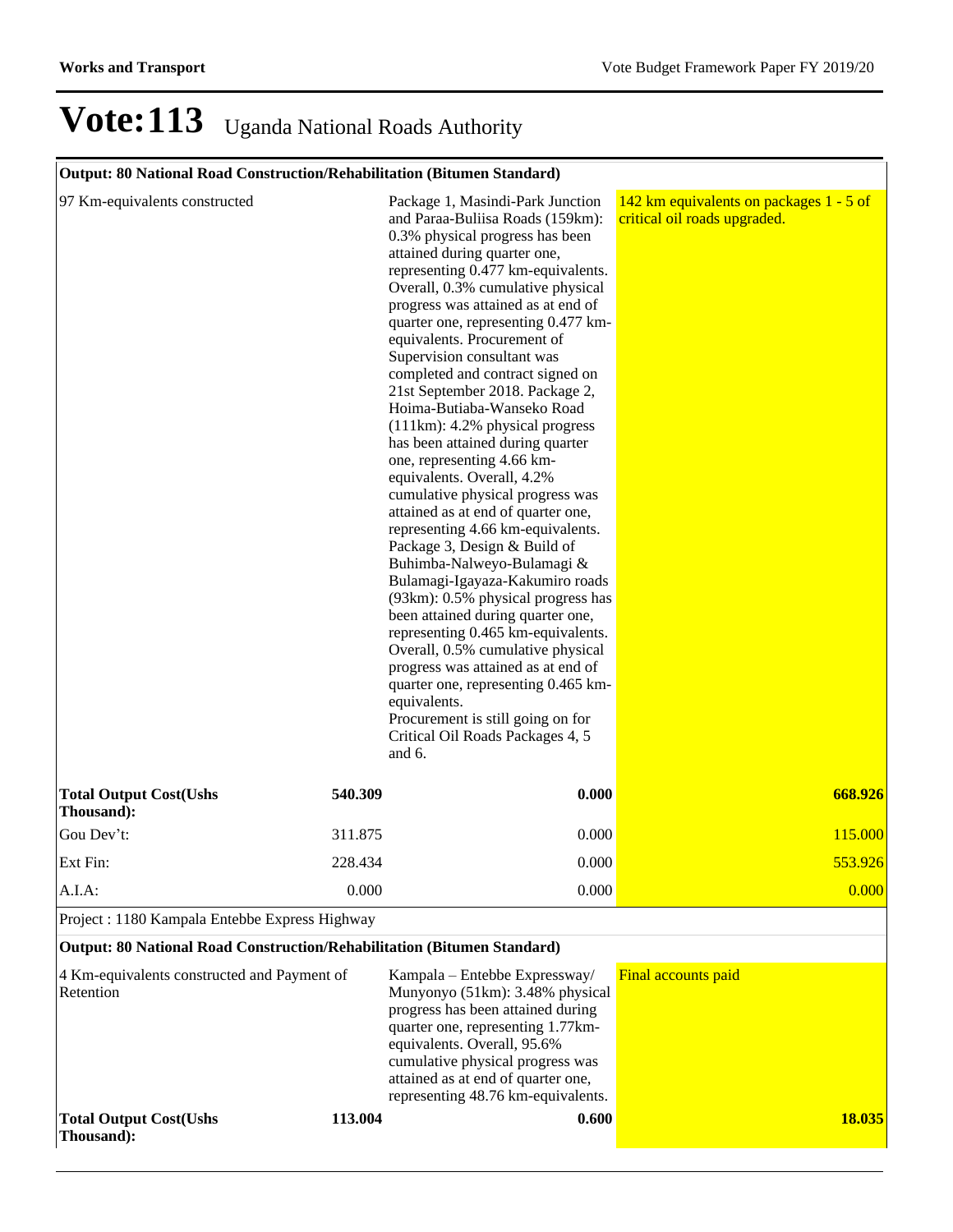### **Output: 80 National Road Construction/Rehabilitation (Bitumen Standard)**

| 97 Km-equivalents constructed                                           |         | Package 1, Masindi-Park Junction<br>and Paraa-Buliisa Roads (159km):<br>0.3% physical progress has been<br>attained during quarter one,<br>representing 0.477 km-equivalents.<br>Overall, 0.3% cumulative physical<br>progress was attained as at end of<br>quarter one, representing 0.477 km-<br>equivalents. Procurement of<br>Supervision consultant was<br>completed and contract signed on<br>21st September 2018. Package 2,<br>Hoima-Butiaba-Wanseko Road<br>$(111km)$ : 4.2% physical progress<br>has been attained during quarter<br>one, representing 4.66 km-<br>equivalents. Overall, 4.2%<br>cumulative physical progress was<br>attained as at end of quarter one,<br>representing 4.66 km-equivalents.<br>Package 3, Design & Build of<br>Buhimba-Nalweyo-Bulamagi &<br>Bulamagi-Igayaza-Kakumiro roads<br>(93km): 0.5% physical progress has<br>been attained during quarter one,<br>representing 0.465 km-equivalents.<br>Overall, 0.5% cumulative physical<br>progress was attained as at end of<br>quarter one, representing 0.465 km-<br>equivalents.<br>Procurement is still going on for<br>Critical Oil Roads Packages 4, 5<br>and 6. | 142 km equivalents on packages 1 - 5 of<br>critical oil roads upgraded. |
|-------------------------------------------------------------------------|---------|---------------------------------------------------------------------------------------------------------------------------------------------------------------------------------------------------------------------------------------------------------------------------------------------------------------------------------------------------------------------------------------------------------------------------------------------------------------------------------------------------------------------------------------------------------------------------------------------------------------------------------------------------------------------------------------------------------------------------------------------------------------------------------------------------------------------------------------------------------------------------------------------------------------------------------------------------------------------------------------------------------------------------------------------------------------------------------------------------------------------------------------------------------------|-------------------------------------------------------------------------|
| <b>Total Output Cost(Ushs</b><br>Thousand):                             | 540.309 | 0.000                                                                                                                                                                                                                                                                                                                                                                                                                                                                                                                                                                                                                                                                                                                                                                                                                                                                                                                                                                                                                                                                                                                                                         | 668.926                                                                 |
| Gou Dev't:                                                              | 311.875 | 0.000                                                                                                                                                                                                                                                                                                                                                                                                                                                                                                                                                                                                                                                                                                                                                                                                                                                                                                                                                                                                                                                                                                                                                         | 115.000                                                                 |
| Ext Fin:                                                                | 228.434 | 0.000                                                                                                                                                                                                                                                                                                                                                                                                                                                                                                                                                                                                                                                                                                                                                                                                                                                                                                                                                                                                                                                                                                                                                         | 553.926                                                                 |
| A.I.A:                                                                  | 0.000   | 0.000                                                                                                                                                                                                                                                                                                                                                                                                                                                                                                                                                                                                                                                                                                                                                                                                                                                                                                                                                                                                                                                                                                                                                         | 0.000                                                                   |
| Project : 1180 Kampala Entebbe Express Highway                          |         |                                                                                                                                                                                                                                                                                                                                                                                                                                                                                                                                                                                                                                                                                                                                                                                                                                                                                                                                                                                                                                                                                                                                                               |                                                                         |
| Output: 80 National Road Construction/Rehabilitation (Bitumen Standard) |         |                                                                                                                                                                                                                                                                                                                                                                                                                                                                                                                                                                                                                                                                                                                                                                                                                                                                                                                                                                                                                                                                                                                                                               |                                                                         |
| 4 Km-equivalents constructed and Payment of<br>Retention                |         | Kampala – Entebbe Expressway/<br>Munyonyo (51km): 3.48% physical<br>progress has been attained during<br>quarter one, representing 1.77km-<br>equivalents. Overall, 95.6%<br>cumulative physical progress was<br>attained as at end of quarter one,<br>representing 48.76 km-equivalents.                                                                                                                                                                                                                                                                                                                                                                                                                                                                                                                                                                                                                                                                                                                                                                                                                                                                     | Final accounts paid                                                     |
| <b>Total Output Cost(Ushs</b><br>Thousand):                             | 113.004 | 0.600                                                                                                                                                                                                                                                                                                                                                                                                                                                                                                                                                                                                                                                                                                                                                                                                                                                                                                                                                                                                                                                                                                                                                         | <b>18.035</b>                                                           |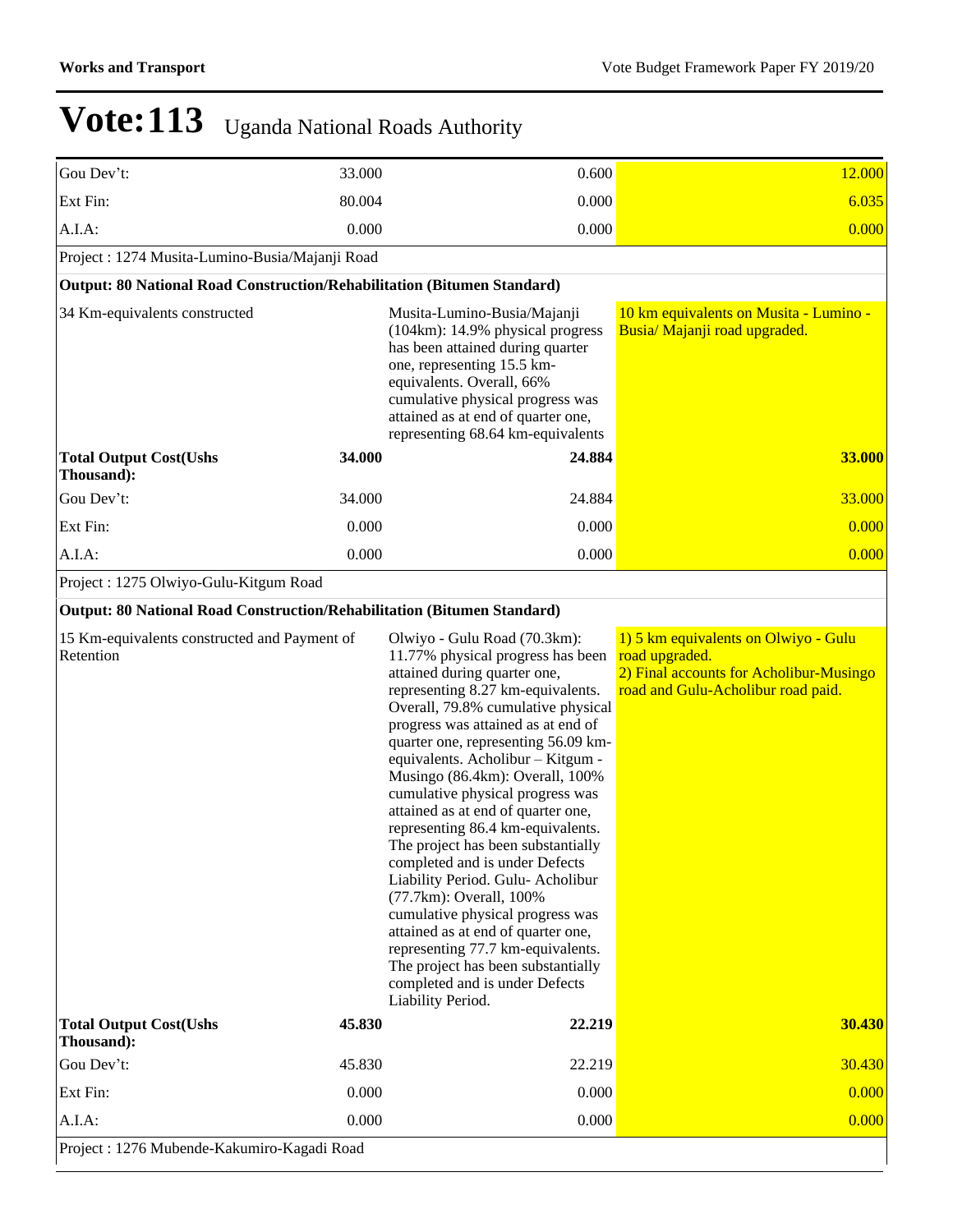| Gou Dev't:                                                              | 33.000 | 0.600                                                                                                                                                                                                                                                                                                                                                                                                                                                                                                                                                                                                                                                                                                                                                                                                | 12.000                                                                                                                                  |
|-------------------------------------------------------------------------|--------|------------------------------------------------------------------------------------------------------------------------------------------------------------------------------------------------------------------------------------------------------------------------------------------------------------------------------------------------------------------------------------------------------------------------------------------------------------------------------------------------------------------------------------------------------------------------------------------------------------------------------------------------------------------------------------------------------------------------------------------------------------------------------------------------------|-----------------------------------------------------------------------------------------------------------------------------------------|
| Ext Fin:                                                                | 80.004 | 0.000                                                                                                                                                                                                                                                                                                                                                                                                                                                                                                                                                                                                                                                                                                                                                                                                | 6.035                                                                                                                                   |
| A.I.A:                                                                  | 0.000  | 0.000                                                                                                                                                                                                                                                                                                                                                                                                                                                                                                                                                                                                                                                                                                                                                                                                | 0.000                                                                                                                                   |
| Project: 1274 Musita-Lumino-Busia/Majanji Road                          |        |                                                                                                                                                                                                                                                                                                                                                                                                                                                                                                                                                                                                                                                                                                                                                                                                      |                                                                                                                                         |
| Output: 80 National Road Construction/Rehabilitation (Bitumen Standard) |        |                                                                                                                                                                                                                                                                                                                                                                                                                                                                                                                                                                                                                                                                                                                                                                                                      |                                                                                                                                         |
| 34 Km-equivalents constructed                                           |        | Musita-Lumino-Busia/Majanji<br>$(104km)$ : 14.9% physical progress<br>has been attained during quarter<br>one, representing 15.5 km-<br>equivalents. Overall, 66%<br>cumulative physical progress was<br>attained as at end of quarter one,<br>representing 68.64 km-equivalents                                                                                                                                                                                                                                                                                                                                                                                                                                                                                                                     | 10 km equivalents on Musita - Lumino -<br>Busia/ Majanji road upgraded.                                                                 |
| <b>Total Output Cost(Ushs</b><br>Thousand):                             | 34.000 | 24.884                                                                                                                                                                                                                                                                                                                                                                                                                                                                                                                                                                                                                                                                                                                                                                                               | 33.000                                                                                                                                  |
| Gou Dev't:                                                              | 34.000 | 24.884                                                                                                                                                                                                                                                                                                                                                                                                                                                                                                                                                                                                                                                                                                                                                                                               | 33.000                                                                                                                                  |
| Ext Fin:                                                                | 0.000  | 0.000                                                                                                                                                                                                                                                                                                                                                                                                                                                                                                                                                                                                                                                                                                                                                                                                | 0.000                                                                                                                                   |
| A.I.A:                                                                  | 0.000  | 0.000                                                                                                                                                                                                                                                                                                                                                                                                                                                                                                                                                                                                                                                                                                                                                                                                | 0.000                                                                                                                                   |
| Project: 1275 Olwiyo-Gulu-Kitgum Road                                   |        |                                                                                                                                                                                                                                                                                                                                                                                                                                                                                                                                                                                                                                                                                                                                                                                                      |                                                                                                                                         |
| Output: 80 National Road Construction/Rehabilitation (Bitumen Standard) |        |                                                                                                                                                                                                                                                                                                                                                                                                                                                                                                                                                                                                                                                                                                                                                                                                      |                                                                                                                                         |
| 15 Km-equivalents constructed and Payment of<br>Retention               |        | Olwiyo - Gulu Road (70.3km):<br>11.77% physical progress has been<br>attained during quarter one,<br>representing 8.27 km-equivalents.<br>Overall, 79.8% cumulative physical<br>progress was attained as at end of<br>quarter one, representing 56.09 km-<br>equivalents. Acholibur - Kitgum -<br>Musingo (86.4km): Overall, 100%<br>cumulative physical progress was<br>attained as at end of quarter one,<br>representing 86.4 km-equivalents.<br>The project has been substantially<br>completed and is under Defects<br>Liability Period. Gulu- Acholibur<br>(77.7km): Overall, 100%<br>cumulative physical progress was<br>attained as at end of quarter one,<br>representing 77.7 km-equivalents.<br>The project has been substantially<br>completed and is under Defects<br>Liability Period. | 1) 5 km equivalents on Olwiyo - Gulu<br>road upgraded.<br>2) Final accounts for Acholibur-Musingo<br>road and Gulu-Acholibur road paid. |
| <b>Total Output Cost(Ushs</b><br>Thousand):                             | 45.830 | 22.219                                                                                                                                                                                                                                                                                                                                                                                                                                                                                                                                                                                                                                                                                                                                                                                               | 30.430                                                                                                                                  |
| Gou Dev't:                                                              | 45.830 | 22.219                                                                                                                                                                                                                                                                                                                                                                                                                                                                                                                                                                                                                                                                                                                                                                                               | 30.430                                                                                                                                  |
| Ext Fin:                                                                | 0.000  | 0.000                                                                                                                                                                                                                                                                                                                                                                                                                                                                                                                                                                                                                                                                                                                                                                                                | 0.000                                                                                                                                   |
| A.I.A:                                                                  | 0.000  | 0.000                                                                                                                                                                                                                                                                                                                                                                                                                                                                                                                                                                                                                                                                                                                                                                                                | 0.000                                                                                                                                   |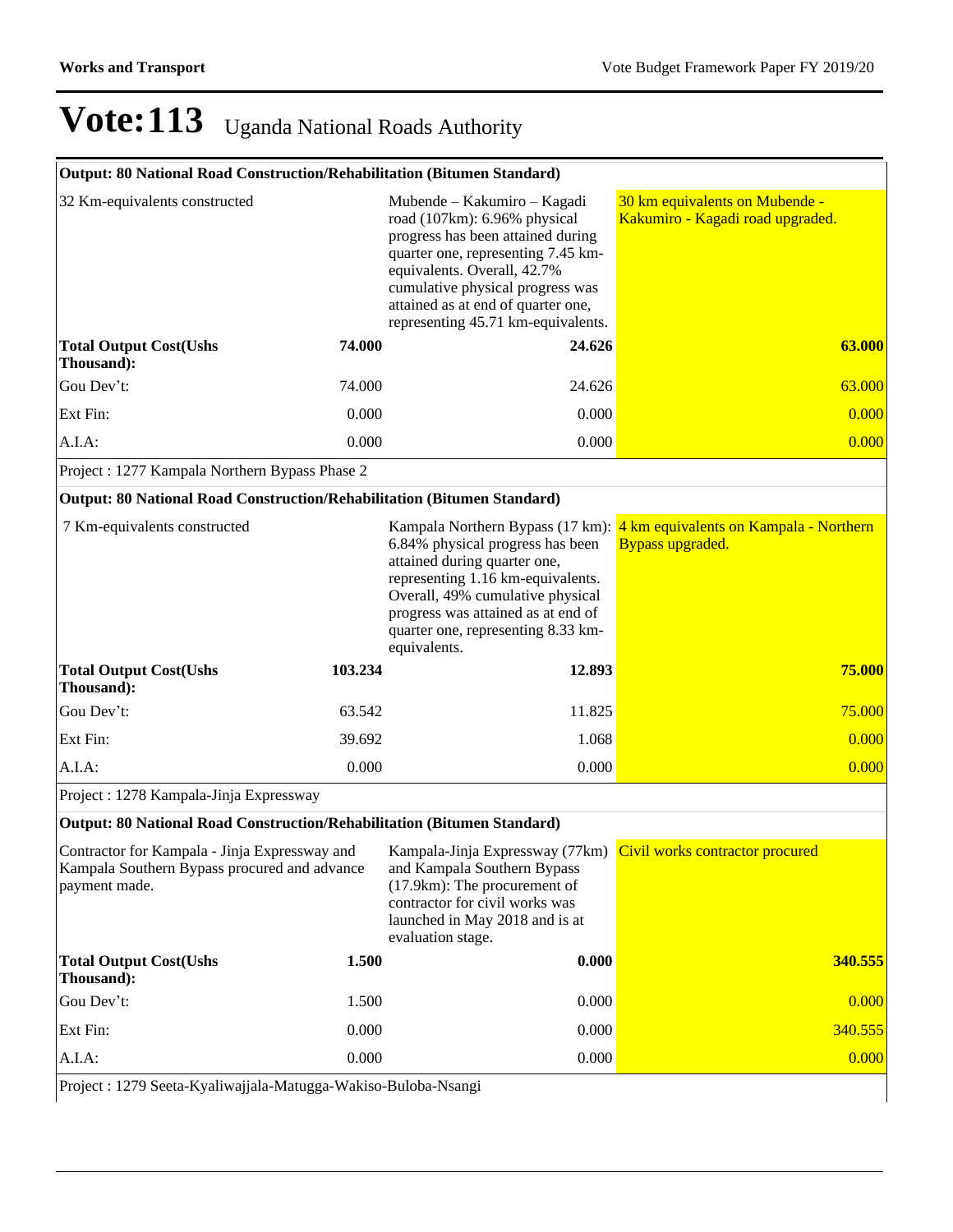| <b>Output: 80 National Road Construction/Rehabilitation (Bitumen Standard)</b> |
|--------------------------------------------------------------------------------|
|--------------------------------------------------------------------------------|

| 32 Km-equivalents constructed                                                                                  |         | Mubende – Kakumiro – Kagadi<br>road (107km): 6.96% physical<br>progress has been attained during<br>quarter one, representing 7.45 km-<br>equivalents. Overall, 42.7%<br>cumulative physical progress was<br>attained as at end of quarter one,<br>representing 45.71 km-equivalents. | 30 km equivalents on Mubende -<br>Kakumiro - Kagadi road upgraded.                          |
|----------------------------------------------------------------------------------------------------------------|---------|---------------------------------------------------------------------------------------------------------------------------------------------------------------------------------------------------------------------------------------------------------------------------------------|---------------------------------------------------------------------------------------------|
| <b>Total Output Cost(Ushs</b><br>Thousand):                                                                    | 74.000  | 24.626                                                                                                                                                                                                                                                                                | 63.000                                                                                      |
| Gou Dev't:                                                                                                     | 74.000  | 24.626                                                                                                                                                                                                                                                                                | 63.000                                                                                      |
| Ext Fin:                                                                                                       | 0.000   | 0.000                                                                                                                                                                                                                                                                                 | 0.000                                                                                       |
| A.I.A.                                                                                                         | 0.000   | 0.000                                                                                                                                                                                                                                                                                 | 0.000                                                                                       |
| Project : 1277 Kampala Northern Bypass Phase 2                                                                 |         |                                                                                                                                                                                                                                                                                       |                                                                                             |
| Output: 80 National Road Construction/Rehabilitation (Bitumen Standard)                                        |         |                                                                                                                                                                                                                                                                                       |                                                                                             |
| 7 Km-equivalents constructed                                                                                   |         | 6.84% physical progress has been<br>attained during quarter one,<br>representing 1.16 km-equivalents.<br>Overall, 49% cumulative physical<br>progress was attained as at end of<br>quarter one, representing 8.33 km-<br>equivalents.                                                 | Kampala Northern Bypass (17 km): 4 km equivalents on Kampala - Northern<br>Bypass upgraded. |
| <b>Total Output Cost(Ushs</b><br>Thousand):                                                                    | 103.234 | 12.893                                                                                                                                                                                                                                                                                | <b>75.000</b>                                                                               |
| Gou Dev't:                                                                                                     | 63.542  | 11.825                                                                                                                                                                                                                                                                                | 75.000                                                                                      |
| Ext Fin:                                                                                                       | 39.692  | 1.068                                                                                                                                                                                                                                                                                 | 0.000                                                                                       |
| A.I.A.                                                                                                         | 0.000   | 0.000                                                                                                                                                                                                                                                                                 | 0.000                                                                                       |
| Project: 1278 Kampala-Jinja Expressway                                                                         |         |                                                                                                                                                                                                                                                                                       |                                                                                             |
| Output: 80 National Road Construction/Rehabilitation (Bitumen Standard)                                        |         |                                                                                                                                                                                                                                                                                       |                                                                                             |
| Contractor for Kampala - Jinja Expressway and<br>Kampala Southern Bypass procured and advance<br>payment made. |         | Kampala-Jinja Expressway (77km)<br>and Kampala Southern Bypass<br>(17.9km): The procurement of<br>contractor for civil works was<br>launched in May 2018 and is at<br>evaluation stage.                                                                                               | Civil works contractor procured                                                             |
| <b>Total Output Cost(Ushs</b><br>Thousand):                                                                    | 1.500   | 0.000                                                                                                                                                                                                                                                                                 | 340.555                                                                                     |
| Gou Dev't:                                                                                                     | 1.500   | 0.000                                                                                                                                                                                                                                                                                 | 0.000                                                                                       |
| Ext Fin:                                                                                                       | 0.000   | 0.000                                                                                                                                                                                                                                                                                 | 340.555                                                                                     |
| A.I.A:                                                                                                         | 0.000   | 0.000                                                                                                                                                                                                                                                                                 | 0.000                                                                                       |

Project : 1279 Seeta-Kyaliwajjala-Matugga-Wakiso-Buloba-Nsangi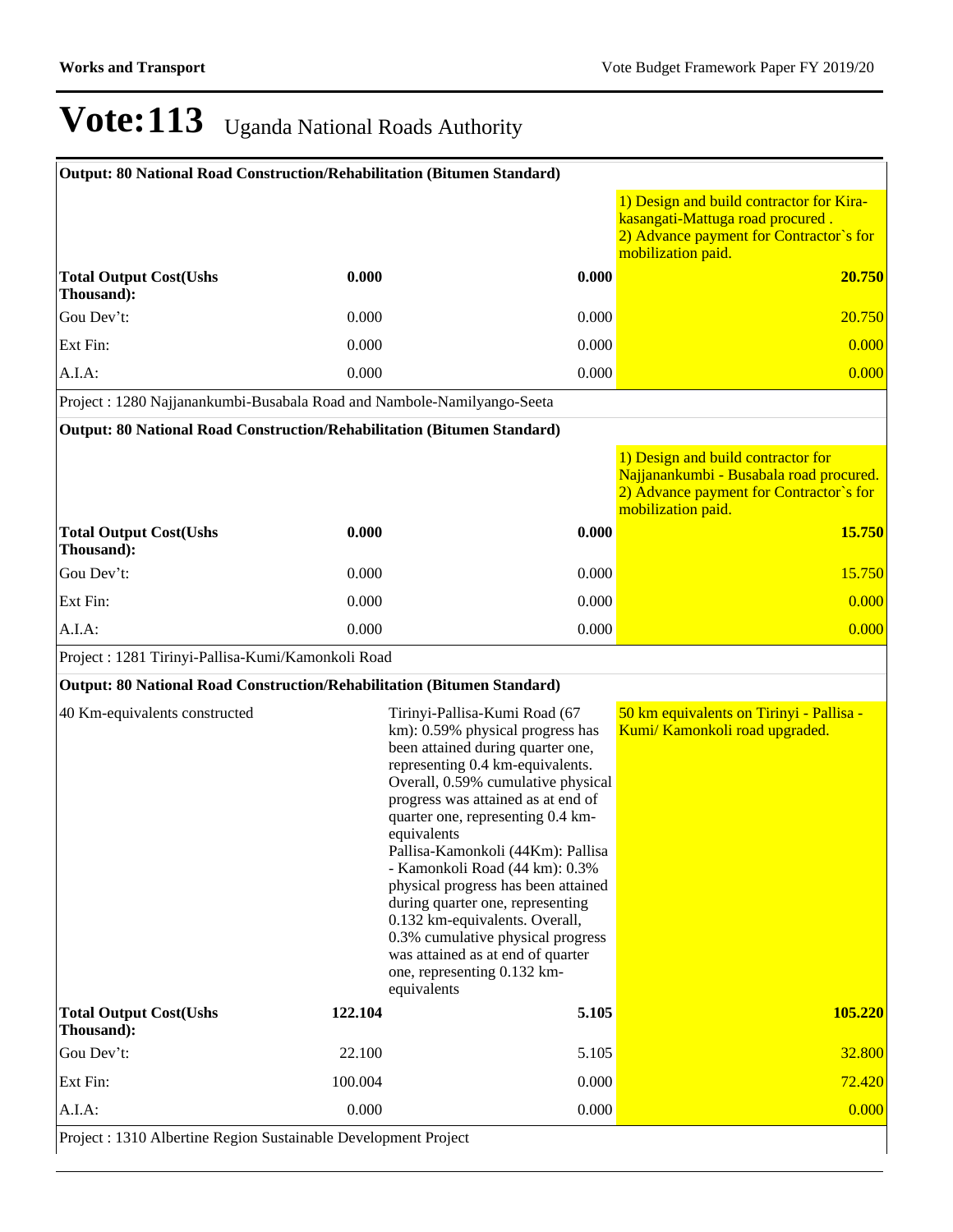| Output: 80 National Road Construction/Rehabilitation (Bitumen Standard) |         |                                                                                                                                                                                                                                                                                                                                                                                                                                                                                                                                                                                        |                                                                                                                                                |
|-------------------------------------------------------------------------|---------|----------------------------------------------------------------------------------------------------------------------------------------------------------------------------------------------------------------------------------------------------------------------------------------------------------------------------------------------------------------------------------------------------------------------------------------------------------------------------------------------------------------------------------------------------------------------------------------|------------------------------------------------------------------------------------------------------------------------------------------------|
|                                                                         |         |                                                                                                                                                                                                                                                                                                                                                                                                                                                                                                                                                                                        | 1) Design and build contractor for Kira-<br>kasangati-Mattuga road procured.<br>2) Advance payment for Contractor's for<br>mobilization paid.  |
| <b>Total Output Cost(Ushs</b><br>Thousand):                             | 0.000   | 0.000                                                                                                                                                                                                                                                                                                                                                                                                                                                                                                                                                                                  | 20.750                                                                                                                                         |
| Gou Dev't:                                                              | 0.000   | 0.000                                                                                                                                                                                                                                                                                                                                                                                                                                                                                                                                                                                  | 20.750                                                                                                                                         |
| Ext Fin:                                                                | 0.000   | 0.000                                                                                                                                                                                                                                                                                                                                                                                                                                                                                                                                                                                  | 0.000                                                                                                                                          |
| A.I.A.                                                                  | 0.000   | 0.000                                                                                                                                                                                                                                                                                                                                                                                                                                                                                                                                                                                  | 0.000                                                                                                                                          |
| Project: 1280 Najjanankumbi-Busabala Road and Nambole-Namilyango-Seeta  |         |                                                                                                                                                                                                                                                                                                                                                                                                                                                                                                                                                                                        |                                                                                                                                                |
| Output: 80 National Road Construction/Rehabilitation (Bitumen Standard) |         |                                                                                                                                                                                                                                                                                                                                                                                                                                                                                                                                                                                        |                                                                                                                                                |
|                                                                         |         |                                                                                                                                                                                                                                                                                                                                                                                                                                                                                                                                                                                        | 1) Design and build contractor for<br>Najjanankumbi - Busabala road procured.<br>2) Advance payment for Contractor's for<br>mobilization paid. |
| <b>Total Output Cost(Ushs</b><br>Thousand):                             | 0.000   | 0.000                                                                                                                                                                                                                                                                                                                                                                                                                                                                                                                                                                                  | 15.750                                                                                                                                         |
| Gou Dev't:                                                              | 0.000   | 0.000                                                                                                                                                                                                                                                                                                                                                                                                                                                                                                                                                                                  | 15.750                                                                                                                                         |
| Ext Fin:                                                                | 0.000   | 0.000                                                                                                                                                                                                                                                                                                                                                                                                                                                                                                                                                                                  | 0.000                                                                                                                                          |
| A.I.A:                                                                  | 0.000   | 0.000                                                                                                                                                                                                                                                                                                                                                                                                                                                                                                                                                                                  | 0.000                                                                                                                                          |
| Project : 1281 Tirinyi-Pallisa-Kumi/Kamonkoli Road                      |         |                                                                                                                                                                                                                                                                                                                                                                                                                                                                                                                                                                                        |                                                                                                                                                |
| Output: 80 National Road Construction/Rehabilitation (Bitumen Standard) |         |                                                                                                                                                                                                                                                                                                                                                                                                                                                                                                                                                                                        |                                                                                                                                                |
| 40 Km-equivalents constructed                                           |         | Tirinyi-Pallisa-Kumi Road (67<br>km): 0.59% physical progress has<br>been attained during quarter one,<br>representing 0.4 km-equivalents.<br>Overall, 0.59% cumulative physical<br>progress was attained as at end of<br>quarter one, representing 0.4 km-<br>equivalents<br>Pallisa-Kamonkoli (44Km): Pallisa<br>- Kamonkoli Road (44 km): 0.3%<br>physical progress has been attained<br>during quarter one, representing<br>0.132 km-equivalents. Overall,<br>0.3% cumulative physical progress<br>was attained as at end of quarter<br>one, representing 0.132 km-<br>equivalents | 50 km equivalents on Tirinyi - Pallisa -<br>Kumi/ Kamonkoli road upgraded.                                                                     |
| <b>Total Output Cost(Ushs</b><br>Thousand):                             | 122.104 | 5.105                                                                                                                                                                                                                                                                                                                                                                                                                                                                                                                                                                                  | <b>105.220</b>                                                                                                                                 |
| Gou Dev't:                                                              | 22.100  | 5.105                                                                                                                                                                                                                                                                                                                                                                                                                                                                                                                                                                                  | 32.800                                                                                                                                         |
| Ext Fin:                                                                | 100.004 | 0.000                                                                                                                                                                                                                                                                                                                                                                                                                                                                                                                                                                                  | 72.420                                                                                                                                         |
| A.I.A:                                                                  | 0.000   | 0.000                                                                                                                                                                                                                                                                                                                                                                                                                                                                                                                                                                                  | 0.000                                                                                                                                          |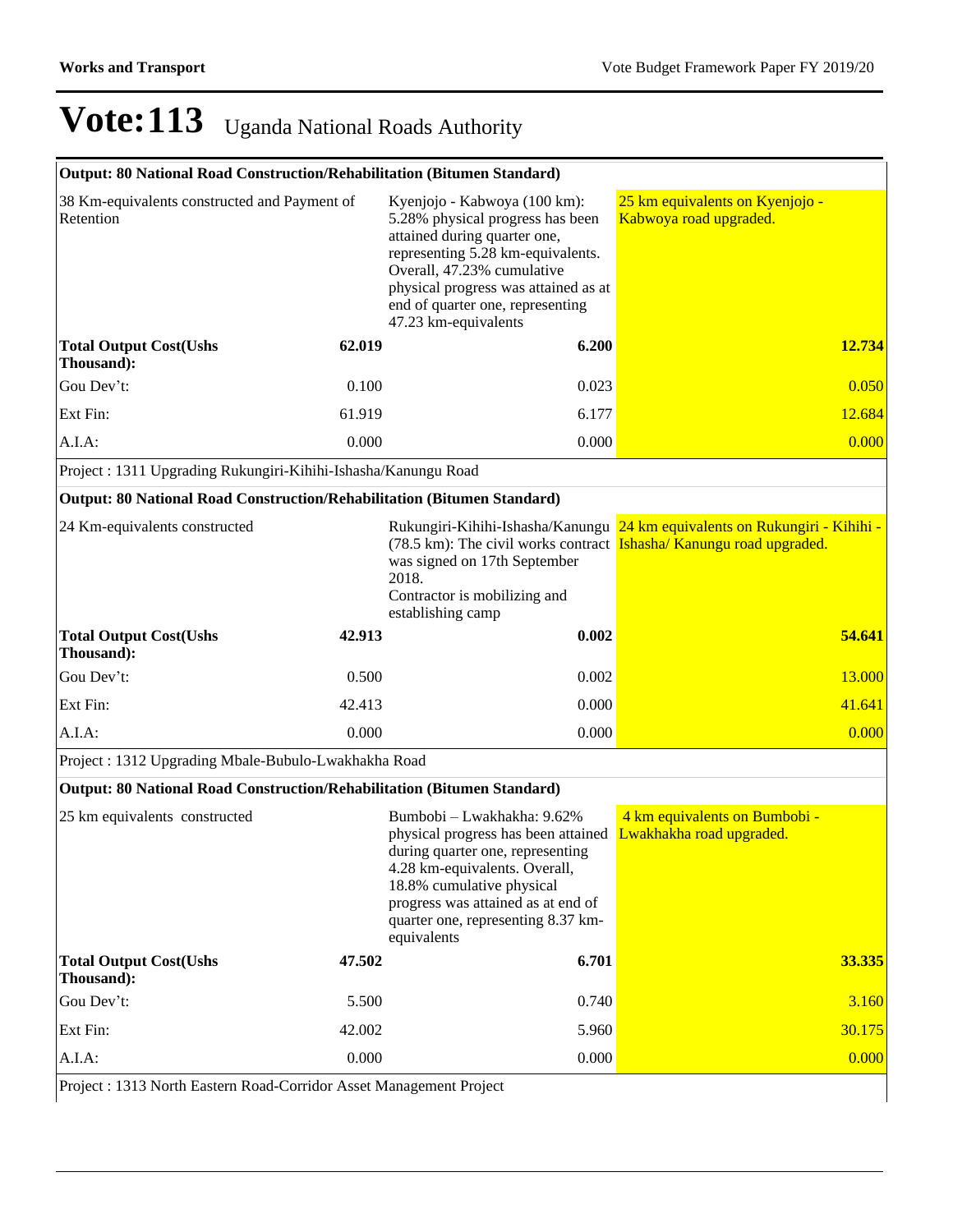### **Output: 80 National Road Construction/Rehabilitation (Bitumen Standard)**

| 38 Km-equivalents constructed and Payment of<br>Retention               |        | Kyenjojo - Kabwoya (100 km):<br>5.28% physical progress has been<br>attained during quarter one,<br>representing 5.28 km-equivalents.<br>Overall, 47.23% cumulative<br>physical progress was attained as at<br>end of quarter one, representing<br>47.23 km-equivalents | 25 km equivalents on Kyenjojo -<br>Kabwoya road upgraded.                  |
|-------------------------------------------------------------------------|--------|-------------------------------------------------------------------------------------------------------------------------------------------------------------------------------------------------------------------------------------------------------------------------|----------------------------------------------------------------------------|
| <b>Total Output Cost(Ushs</b><br>Thousand):                             | 62.019 | 6.200                                                                                                                                                                                                                                                                   | 12.734                                                                     |
| Gou Dev't:                                                              | 0.100  | 0.023                                                                                                                                                                                                                                                                   | 0.050                                                                      |
| Ext Fin:                                                                | 61.919 | 6.177                                                                                                                                                                                                                                                                   | 12.684                                                                     |
| A.I.A.                                                                  | 0.000  | 0.000                                                                                                                                                                                                                                                                   | 0.000                                                                      |
| Project: 1311 Upgrading Rukungiri-Kihihi-Ishasha/Kanungu Road           |        |                                                                                                                                                                                                                                                                         |                                                                            |
| Output: 80 National Road Construction/Rehabilitation (Bitumen Standard) |        |                                                                                                                                                                                                                                                                         |                                                                            |
| 24 Km-equivalents constructed                                           |        | (78.5 km): The civil works contract <b>Ishasha/Kanungu road upgraded.</b><br>was signed on 17th September<br>2018.<br>Contractor is mobilizing and<br>establishing camp                                                                                                 | Rukungiri-Kihihi-Ishasha/Kanungu 24 km equivalents on Rukungiri - Kihihi - |
| <b>Total Output Cost(Ushs</b><br>Thousand):                             | 42.913 | 0.002                                                                                                                                                                                                                                                                   | 54.641                                                                     |
| Gou Dev't:                                                              | 0.500  | 0.002                                                                                                                                                                                                                                                                   | 13.000                                                                     |
| Ext Fin:                                                                | 42.413 | 0.000                                                                                                                                                                                                                                                                   | 41.641                                                                     |
| A.I.A.                                                                  | 0.000  | 0.000                                                                                                                                                                                                                                                                   | 0.000                                                                      |
| Project: 1312 Upgrading Mbale-Bubulo-Lwakhakha Road                     |        |                                                                                                                                                                                                                                                                         |                                                                            |
| Output: 80 National Road Construction/Rehabilitation (Bitumen Standard) |        |                                                                                                                                                                                                                                                                         |                                                                            |
| $25$ km conivalents constructed                                         |        | Dumbobi I molibolise $0.620$                                                                                                                                                                                                                                            | 1 lime conjugato on Dumbobi                                                |

| 25 km equivalents constructed                 |        | Bumbobi - Lwakhakha: 9.62%<br>physical progress has been attained<br>during quarter one, representing<br>4.28 km-equivalents. Overall,<br>18.8% cumulative physical<br>progress was attained as at end of<br>quarter one, representing 8.37 km-<br>equivalents | 4 km equivalents on Bumbobi -<br>Lwakhakha road upgraded. |
|-----------------------------------------------|--------|----------------------------------------------------------------------------------------------------------------------------------------------------------------------------------------------------------------------------------------------------------------|-----------------------------------------------------------|
| <b>Total Output Cost (Ushs)</b><br>Thousand): | 47.502 | 6.701                                                                                                                                                                                                                                                          | 33.335                                                    |
| Gou Dev't:                                    | 5.500  | 0.740                                                                                                                                                                                                                                                          | 3.160                                                     |
| Ext Fin:                                      | 42.002 | 5.960                                                                                                                                                                                                                                                          | 30.175                                                    |
| $A.I.A$ :                                     | 0.000  | 0.000                                                                                                                                                                                                                                                          | 0.000                                                     |

Project : 1313 North Eastern Road-Corridor Asset Management Project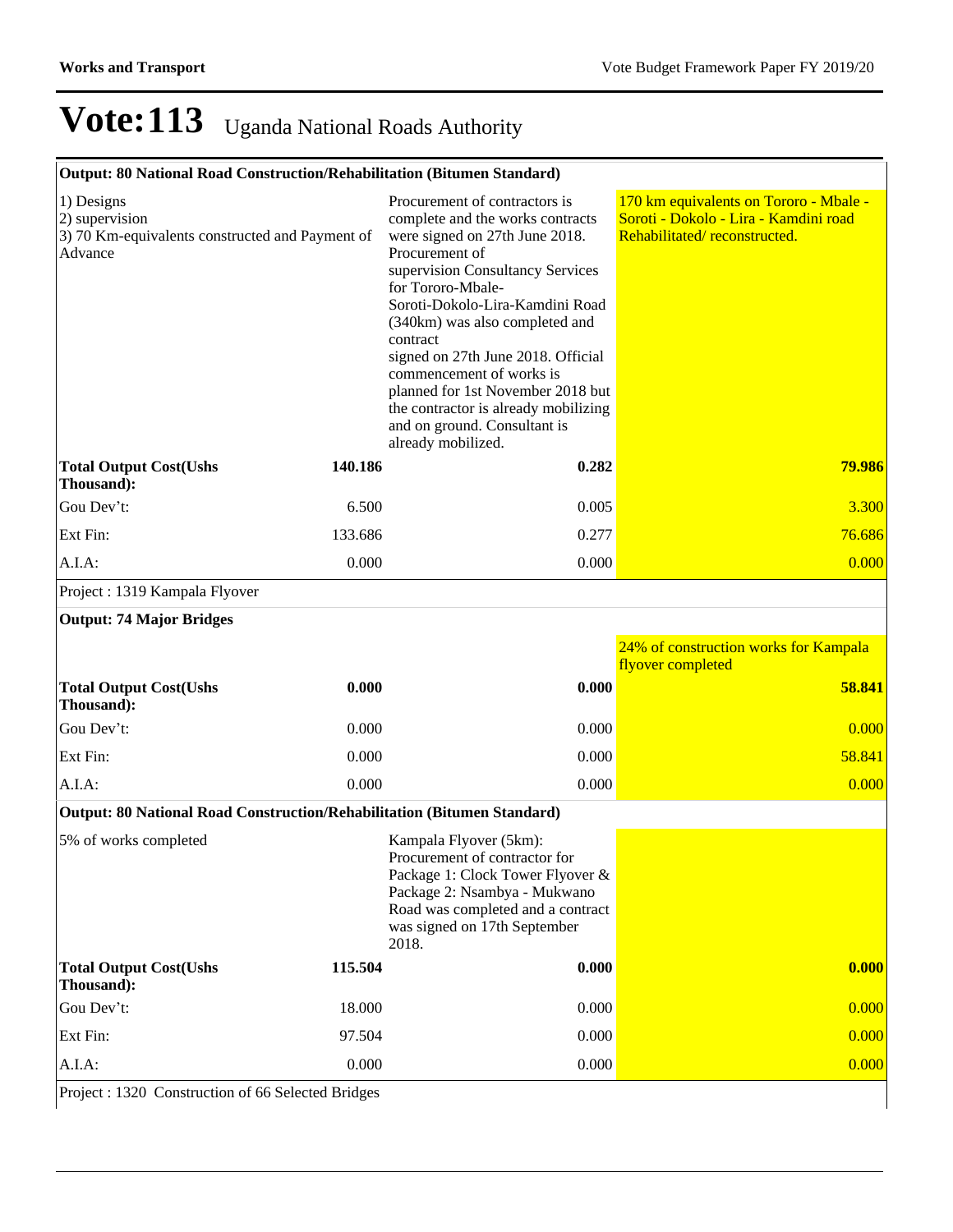### **Output: 80 National Road Construction/Rehabilitation (Bitumen Standard)**

| 1) Designs<br>2) supervision<br>3) 70 Km-equivalents constructed and Payment of<br>Advance |         | Procurement of contractors is<br>complete and the works contracts<br>were signed on 27th June 2018.<br>Procurement of<br>supervision Consultancy Services<br>for Tororo-Mbale-<br>Soroti-Dokolo-Lira-Kamdini Road<br>(340km) was also completed and<br>contract<br>signed on 27th June 2018. Official<br>commencement of works is<br>planned for 1st November 2018 but<br>the contractor is already mobilizing<br>and on ground. Consultant is<br>already mobilized. | 170 km equivalents on Tororo - Mbale -<br>Soroti - Dokolo - Lira - Kamdini road<br>Rehabilitated/reconstructed. |
|--------------------------------------------------------------------------------------------|---------|----------------------------------------------------------------------------------------------------------------------------------------------------------------------------------------------------------------------------------------------------------------------------------------------------------------------------------------------------------------------------------------------------------------------------------------------------------------------|-----------------------------------------------------------------------------------------------------------------|
| <b>Total Output Cost(Ushs</b><br>Thousand):                                                | 140.186 | 0.282                                                                                                                                                                                                                                                                                                                                                                                                                                                                | 79.986                                                                                                          |
| Gou Dev't:                                                                                 | 6.500   | 0.005                                                                                                                                                                                                                                                                                                                                                                                                                                                                | 3.300                                                                                                           |
| Ext Fin:                                                                                   | 133.686 | 0.277                                                                                                                                                                                                                                                                                                                                                                                                                                                                | 76.686                                                                                                          |
| A.I.A.                                                                                     | 0.000   | 0.000                                                                                                                                                                                                                                                                                                                                                                                                                                                                | 0.000                                                                                                           |
| Project: 1319 Kampala Flyover                                                              |         |                                                                                                                                                                                                                                                                                                                                                                                                                                                                      |                                                                                                                 |
| <b>Output: 74 Major Bridges</b>                                                            |         |                                                                                                                                                                                                                                                                                                                                                                                                                                                                      |                                                                                                                 |
|                                                                                            |         |                                                                                                                                                                                                                                                                                                                                                                                                                                                                      | 24% of construction works for Kampala<br>flyover completed                                                      |
| <b>Total Output Cost(Ushs</b><br>Thousand):                                                | 0.000   | 0.000                                                                                                                                                                                                                                                                                                                                                                                                                                                                | 58.841                                                                                                          |
| Gou Dev't:                                                                                 | 0.000   | 0.000                                                                                                                                                                                                                                                                                                                                                                                                                                                                | 0.000                                                                                                           |
| Ext Fin:                                                                                   | 0.000   | 0.000                                                                                                                                                                                                                                                                                                                                                                                                                                                                | 58.841                                                                                                          |
| A.I.A.                                                                                     | 0.000   | 0.000                                                                                                                                                                                                                                                                                                                                                                                                                                                                | 0.000                                                                                                           |
| Output: 80 National Road Construction/Rehabilitation (Bitumen Standard)                    |         |                                                                                                                                                                                                                                                                                                                                                                                                                                                                      |                                                                                                                 |
| 5% of works completed                                                                      |         | Kampala Flyover (5km):<br>Procurement of contractor for<br>Package 1: Clock Tower Flyover &<br>Package 2: Nsambya - Mukwano<br>Road was completed and a contract<br>was signed on 17th September<br>2018.                                                                                                                                                                                                                                                            |                                                                                                                 |
|                                                                                            |         |                                                                                                                                                                                                                                                                                                                                                                                                                                                                      |                                                                                                                 |
| <b>Total Output Cost(Ushs</b><br>Thousand):                                                | 115.504 | 0.000                                                                                                                                                                                                                                                                                                                                                                                                                                                                | 0.000                                                                                                           |
| Gou Dev't:                                                                                 | 18.000  | 0.000                                                                                                                                                                                                                                                                                                                                                                                                                                                                | 0.000                                                                                                           |
| Ext Fin:                                                                                   | 97.504  | 0.000                                                                                                                                                                                                                                                                                                                                                                                                                                                                | 0.000                                                                                                           |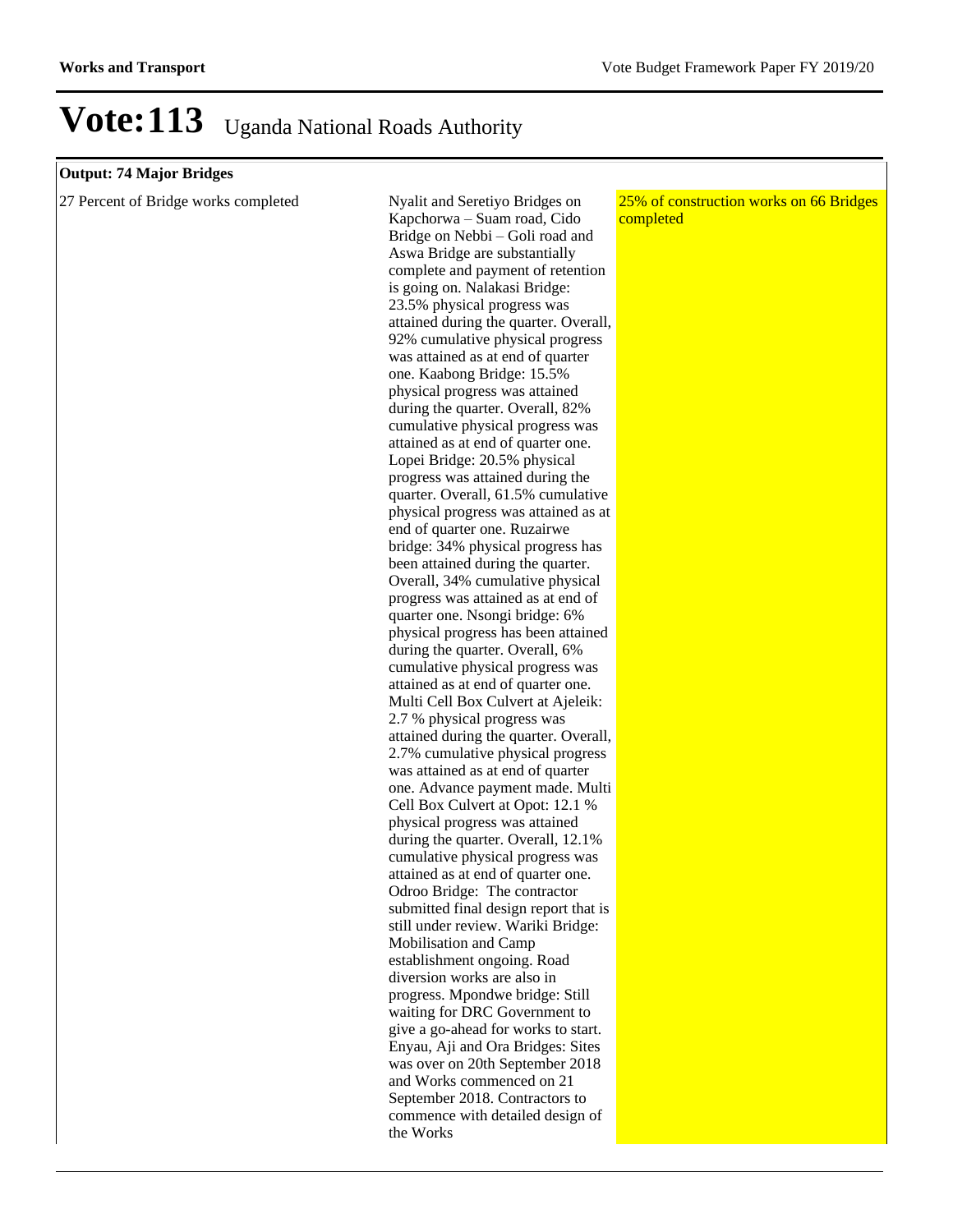#### **Output: 74 Major Bridges**

27 Percent of Bridge works completed Nyalit and Seretiyo Bridges on

Kapchorwa – Suam road, Cido Bridge on Nebbi – Goli road and Aswa Bridge are substantially complete and payment of retention is going on. Nalakasi Bridge: 23.5% physical progress was attained during the quarter. Overall, 92% cumulative physical progress was attained as at end of quarter one. Kaabong Bridge: 15.5% physical progress was attained during the quarter. Overall, 82% cumulative physical progress was attained as at end of quarter one. Lopei Bridge: 20.5% physical progress was attained during the quarter. Overall, 61.5% cumulative physical progress was attained as at end of quarter one. Ruzairwe bridge: 34% physical progress has been attained during the quarter. Overall, 34% cumulative physical progress was attained as at end of quarter one. Nsongi bridge: 6% physical progress has been attained during the quarter. Overall, 6% cumulative physical progress was attained as at end of quarter one. Multi Cell Box Culvert at Ajeleik: 2.7 % physical progress was attained during the quarter. Overall, 2.7% cumulative physical progress was attained as at end of quarter one. Advance payment made. Multi Cell Box Culvert at Opot: 12.1 % physical progress was attained during the quarter. Overall, 12.1% cumulative physical progress was attained as at end of quarter one. Odroo Bridge: The contractor submitted final design report that is still under review. Wariki Bridge: Mobilisation and Camp establishment ongoing. Road diversion works are also in progress. Mpondwe bridge: Still waiting for DRC Government to give a go-ahead for works to start. Enyau, Aji and Ora Bridges: Sites was over on 20th September 2018 and Works commenced on 21 September 2018. Contractors to commence with detailed design of the Works

25% of construction works on 66 Bridges completed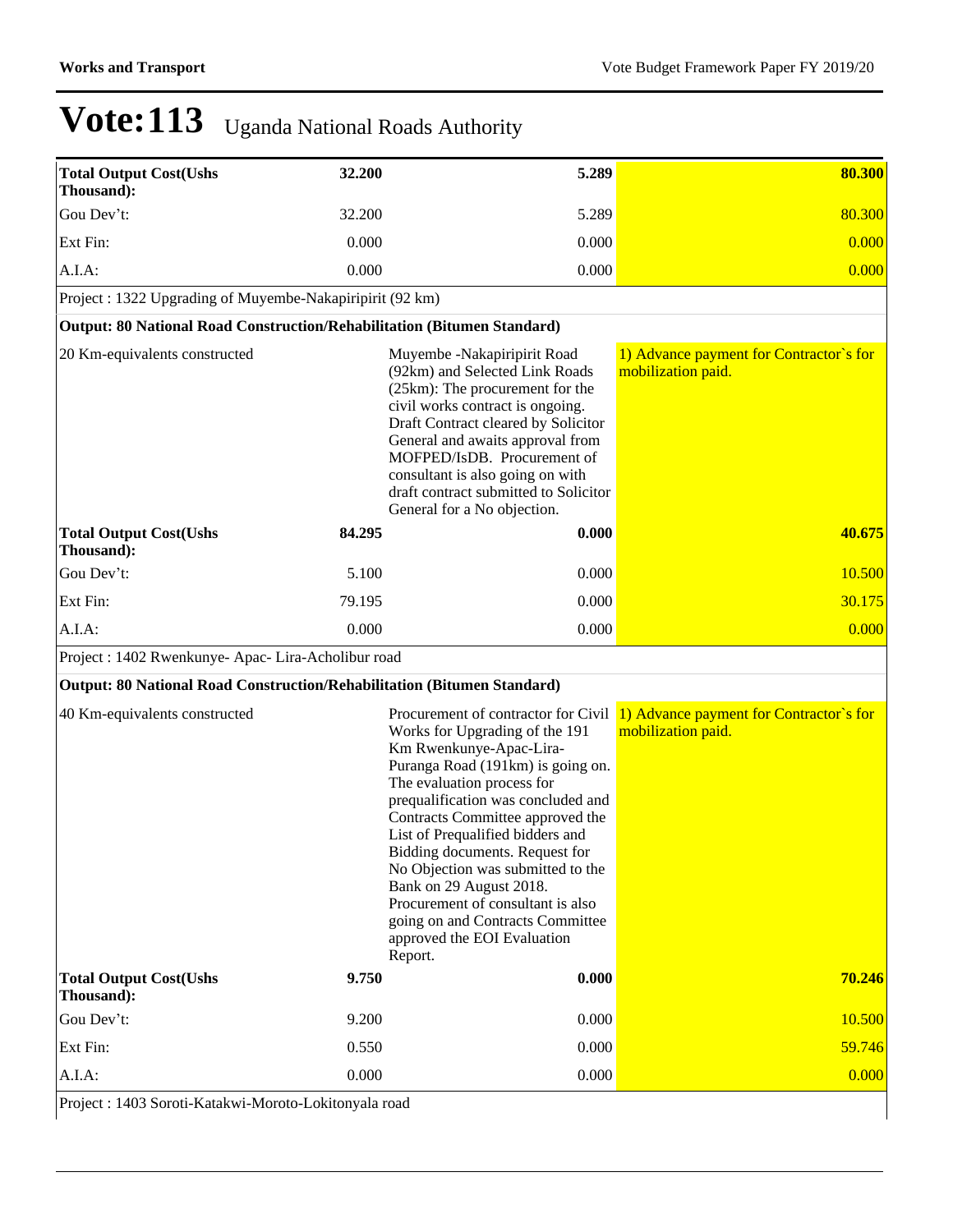| <b>Total Output Cost(Ushs</b><br>Thousand):                             | 32.200 | 5.289                                                                                                                                                                                                                                                                                                                                                                                                                                                                                                  | 80.300                                                        |
|-------------------------------------------------------------------------|--------|--------------------------------------------------------------------------------------------------------------------------------------------------------------------------------------------------------------------------------------------------------------------------------------------------------------------------------------------------------------------------------------------------------------------------------------------------------------------------------------------------------|---------------------------------------------------------------|
| Gou Dev't:                                                              | 32.200 | 5.289                                                                                                                                                                                                                                                                                                                                                                                                                                                                                                  | 80.300                                                        |
| Ext Fin:                                                                | 0.000  | 0.000                                                                                                                                                                                                                                                                                                                                                                                                                                                                                                  | 0.000                                                         |
| $A.I.A$ :                                                               | 0.000  | 0.000                                                                                                                                                                                                                                                                                                                                                                                                                                                                                                  | 0.000                                                         |
| Project : 1322 Upgrading of Muyembe-Nakapiripirit (92 km)               |        |                                                                                                                                                                                                                                                                                                                                                                                                                                                                                                        |                                                               |
| Output: 80 National Road Construction/Rehabilitation (Bitumen Standard) |        |                                                                                                                                                                                                                                                                                                                                                                                                                                                                                                        |                                                               |
| 20 Km-equivalents constructed                                           |        | Muyembe -Nakapiripirit Road<br>(92km) and Selected Link Roads<br>(25km): The procurement for the<br>civil works contract is ongoing.<br>Draft Contract cleared by Solicitor<br>General and awaits approval from<br>MOFPED/IsDB. Procurement of<br>consultant is also going on with<br>draft contract submitted to Solicitor<br>General for a No objection.                                                                                                                                             | 1) Advance payment for Contractor's for<br>mobilization paid. |
| <b>Total Output Cost(Ushs</b><br>Thousand):                             | 84.295 | 0.000                                                                                                                                                                                                                                                                                                                                                                                                                                                                                                  | 40.675                                                        |
| Gou Dev't:                                                              | 5.100  | 0.000                                                                                                                                                                                                                                                                                                                                                                                                                                                                                                  | 10.500                                                        |
| Ext Fin:                                                                | 79.195 | 0.000                                                                                                                                                                                                                                                                                                                                                                                                                                                                                                  | 30.175                                                        |
| $A.I.A$ :                                                               | 0.000  | 0.000                                                                                                                                                                                                                                                                                                                                                                                                                                                                                                  | 0.000                                                         |
| Project : 1402 Rwenkunye- Apac- Lira-Acholibur road                     |        |                                                                                                                                                                                                                                                                                                                                                                                                                                                                                                        |                                                               |
| Output: 80 National Road Construction/Rehabilitation (Bitumen Standard) |        |                                                                                                                                                                                                                                                                                                                                                                                                                                                                                                        |                                                               |
| 40 Km-equivalents constructed                                           |        | Procurement of contractor for Civil<br>Works for Upgrading of the 191<br>Km Rwenkunye-Apac-Lira-<br>Puranga Road (191km) is going on.<br>The evaluation process for<br>prequalification was concluded and<br>Contracts Committee approved the<br>List of Prequalified bidders and<br>Bidding documents. Request for<br>No Objection was submitted to the<br>Bank on 29 August 2018.<br>Procurement of consultant is also<br>going on and Contracts Committee<br>approved the EOI Evaluation<br>Report. | 1) Advance payment for Contractor's for<br>mobilization paid. |
| <b>Total Output Cost(Ushs</b><br>Thousand):                             | 9.750  | 0.000                                                                                                                                                                                                                                                                                                                                                                                                                                                                                                  | 70.246                                                        |
| Gou Dev't:                                                              | 9.200  | 0.000                                                                                                                                                                                                                                                                                                                                                                                                                                                                                                  | 10.500                                                        |
| Ext Fin:                                                                | 0.550  | 0.000                                                                                                                                                                                                                                                                                                                                                                                                                                                                                                  | 59.746                                                        |
| A.I.A:                                                                  | 0.000  | 0.000                                                                                                                                                                                                                                                                                                                                                                                                                                                                                                  | 0.000                                                         |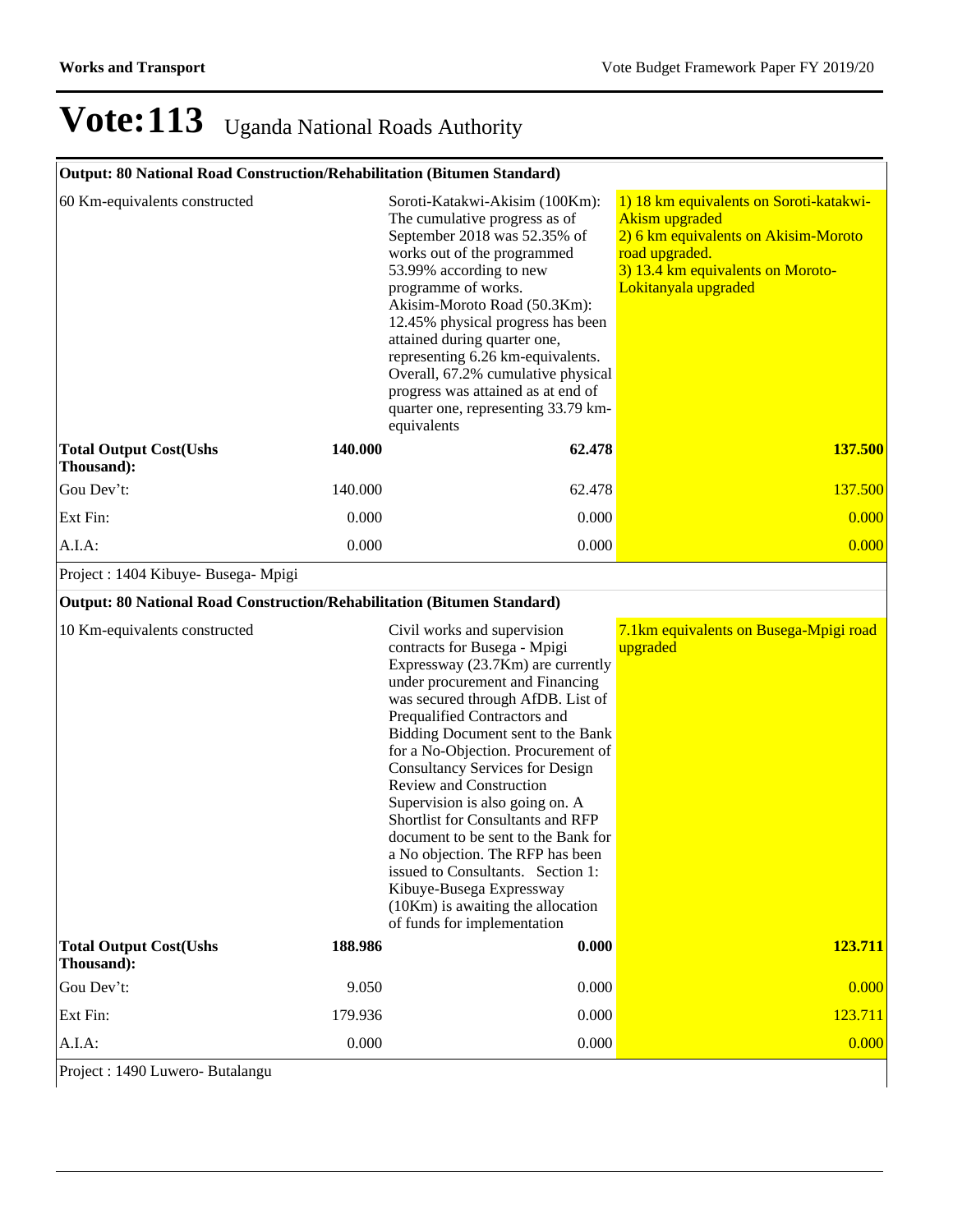### **Output: 80 National Road Construction/Rehabilitation (Bitumen Standard)**

| 60 Km-equivalents constructed                                           |         | Soroti-Katakwi-Akisim (100Km):<br>The cumulative progress as of<br>September 2018 was 52.35% of<br>works out of the programmed<br>53.99% according to new<br>programme of works.<br>Akisim-Moroto Road (50.3Km):<br>12.45% physical progress has been<br>attained during quarter one,<br>representing 6.26 km-equivalents.<br>Overall, 67.2% cumulative physical<br>progress was attained as at end of<br>quarter one, representing 33.79 km-<br>equivalents                                                                                                                                                                                       | 1) 18 km equivalents on Soroti-katakwi-<br><b>Akism upgraded</b><br>2) 6 km equivalents on Akisim-Moroto<br>road upgraded.<br>3) 13.4 km equivalents on Moroto-<br>Lokitanyala upgraded |
|-------------------------------------------------------------------------|---------|----------------------------------------------------------------------------------------------------------------------------------------------------------------------------------------------------------------------------------------------------------------------------------------------------------------------------------------------------------------------------------------------------------------------------------------------------------------------------------------------------------------------------------------------------------------------------------------------------------------------------------------------------|-----------------------------------------------------------------------------------------------------------------------------------------------------------------------------------------|
| <b>Total Output Cost(Ushs</b><br>Thousand):                             | 140.000 | 62.478                                                                                                                                                                                                                                                                                                                                                                                                                                                                                                                                                                                                                                             | <b>137.500</b>                                                                                                                                                                          |
| Gou Dev't:                                                              | 140.000 | 62.478                                                                                                                                                                                                                                                                                                                                                                                                                                                                                                                                                                                                                                             | 137.500                                                                                                                                                                                 |
| Ext Fin:                                                                | 0.000   | 0.000                                                                                                                                                                                                                                                                                                                                                                                                                                                                                                                                                                                                                                              | 0.000                                                                                                                                                                                   |
| A.I.A.                                                                  | 0.000   | 0.000                                                                                                                                                                                                                                                                                                                                                                                                                                                                                                                                                                                                                                              | 0.000                                                                                                                                                                                   |
| Project : 1404 Kibuye- Busega- Mpigi                                    |         |                                                                                                                                                                                                                                                                                                                                                                                                                                                                                                                                                                                                                                                    |                                                                                                                                                                                         |
| Output: 80 National Road Construction/Rehabilitation (Bitumen Standard) |         |                                                                                                                                                                                                                                                                                                                                                                                                                                                                                                                                                                                                                                                    |                                                                                                                                                                                         |
| 10 Km-equivalents constructed                                           |         | Civil works and supervision<br>contracts for Busega - Mpigi<br>Expressway (23.7Km) are currently<br>under procurement and Financing<br>was secured through AfDB. List of<br>Prequalified Contractors and<br>Bidding Document sent to the Bank<br>for a No-Objection. Procurement of<br><b>Consultancy Services for Design</b><br>Review and Construction<br>Supervision is also going on. A<br>Shortlist for Consultants and RFP<br>document to be sent to the Bank for<br>a No objection. The RFP has been<br>issued to Consultants. Section 1:<br>Kibuye-Busega Expressway<br>$(10Km)$ is awaiting the allocation<br>of funds for implementation | 7.1km equivalents on Busega-Mpigi road<br>upgraded                                                                                                                                      |
| <b>Total Output Cost(Ushs</b><br>Thousand):                             | 188.986 | 0.000                                                                                                                                                                                                                                                                                                                                                                                                                                                                                                                                                                                                                                              | 123.711                                                                                                                                                                                 |
| Gou Dev't:                                                              | 9.050   | 0.000                                                                                                                                                                                                                                                                                                                                                                                                                                                                                                                                                                                                                                              | 0.000                                                                                                                                                                                   |
| Ext Fin:                                                                | 179.936 | 0.000                                                                                                                                                                                                                                                                                                                                                                                                                                                                                                                                                                                                                                              | 123.711                                                                                                                                                                                 |
| A.I.A:                                                                  | 0.000   | 0.000                                                                                                                                                                                                                                                                                                                                                                                                                                                                                                                                                                                                                                              | 0.000                                                                                                                                                                                   |
| Project : 1490 Luwero- Butalangu                                        |         |                                                                                                                                                                                                                                                                                                                                                                                                                                                                                                                                                                                                                                                    |                                                                                                                                                                                         |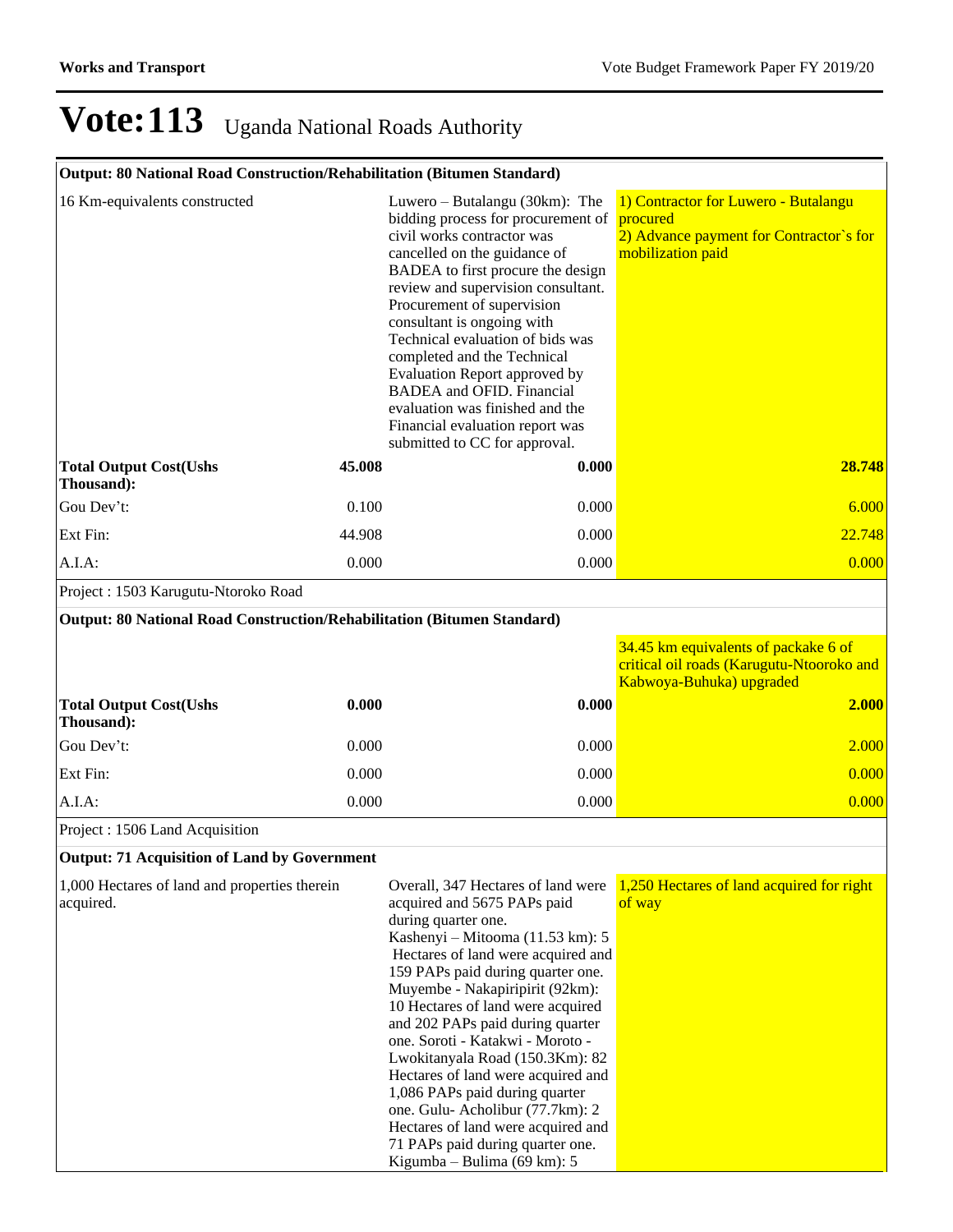### **Output: 80 National Road Construction/Rehabilitation (Bitumen Standard)**

| 16 Km-equivalents constructed                                           |        | Luwero – Butalangu (30km): The<br>bidding process for procurement of<br>civil works contractor was<br>cancelled on the guidance of<br>BADEA to first procure the design<br>review and supervision consultant.<br>Procurement of supervision<br>consultant is ongoing with<br>Technical evaluation of bids was<br>completed and the Technical<br>Evaluation Report approved by<br><b>BADEA</b> and OFID. Financial<br>evaluation was finished and the<br>Financial evaluation report was<br>submitted to CC for approval. | 1) Contractor for Luwero - Butalangu<br>procured<br>2) Advance payment for Contractor's for<br>mobilization paid |
|-------------------------------------------------------------------------|--------|--------------------------------------------------------------------------------------------------------------------------------------------------------------------------------------------------------------------------------------------------------------------------------------------------------------------------------------------------------------------------------------------------------------------------------------------------------------------------------------------------------------------------|------------------------------------------------------------------------------------------------------------------|
| <b>Total Output Cost(Ushs</b><br>Thousand):                             | 45.008 | 0.000                                                                                                                                                                                                                                                                                                                                                                                                                                                                                                                    | 28.748                                                                                                           |
| Gou Dev't:                                                              | 0.100  | 0.000                                                                                                                                                                                                                                                                                                                                                                                                                                                                                                                    | 6.000                                                                                                            |
| Ext Fin:                                                                | 44.908 | 0.000                                                                                                                                                                                                                                                                                                                                                                                                                                                                                                                    | 22.748                                                                                                           |
| A.I.A.                                                                  | 0.000  | 0.000                                                                                                                                                                                                                                                                                                                                                                                                                                                                                                                    | 0.000                                                                                                            |
| Project: 1503 Karugutu-Ntoroko Road                                     |        |                                                                                                                                                                                                                                                                                                                                                                                                                                                                                                                          |                                                                                                                  |
| Output: 80 National Road Construction/Rehabilitation (Bitumen Standard) |        |                                                                                                                                                                                                                                                                                                                                                                                                                                                                                                                          |                                                                                                                  |
|                                                                         |        |                                                                                                                                                                                                                                                                                                                                                                                                                                                                                                                          | 34.45 km equivalents of packake 6 of<br>critical oil roads (Karugutu-Ntooroko and<br>Kabwoya-Buhuka) upgraded    |
| <b>Total Output Cost(Ushs</b><br>Thousand):                             | 0.000  | 0.000                                                                                                                                                                                                                                                                                                                                                                                                                                                                                                                    | 2.000                                                                                                            |
| Gou Dev't:                                                              | 0.000  | 0.000                                                                                                                                                                                                                                                                                                                                                                                                                                                                                                                    | 2.000                                                                                                            |
| Ext Fin:                                                                | 0.000  | 0.000                                                                                                                                                                                                                                                                                                                                                                                                                                                                                                                    | 0.000                                                                                                            |
| A.I.A.                                                                  | 0.000  | 0.000                                                                                                                                                                                                                                                                                                                                                                                                                                                                                                                    | 0.000                                                                                                            |

Project : 1506 Land Acquisition

#### **Output: 71 Acquisition of Land by Government**

| 1,000 Hectares of land and properties therein<br>acquired. | Overall, 347 Hectares of land were<br>acquired and 5675 PAPs paid | 1,250 Hectares of land acquired for right<br>of way |
|------------------------------------------------------------|-------------------------------------------------------------------|-----------------------------------------------------|
|                                                            | during quarter one.                                               |                                                     |
|                                                            | Kashenyi – Mitooma (11.53 km): 5                                  |                                                     |
|                                                            | Hectares of land were acquired and                                |                                                     |
|                                                            | 159 PAPs paid during quarter one.                                 |                                                     |
|                                                            | Muyembe - Nakapiripirit (92km):                                   |                                                     |
|                                                            | 10 Hectares of land were acquired                                 |                                                     |
|                                                            | and 202 PAPs paid during quarter                                  |                                                     |
|                                                            | one. Soroti - Katakwi - Moroto -                                  |                                                     |
|                                                            | Lwokitanyala Road (150.3Km): 82                                   |                                                     |
|                                                            | Hectares of land were acquired and                                |                                                     |
|                                                            | 1,086 PAPs paid during quarter                                    |                                                     |
|                                                            | one. Gulu-Acholibur (77.7km): 2                                   |                                                     |
|                                                            | Hectares of land were acquired and                                |                                                     |
|                                                            | 71 PAPs paid during quarter one.                                  |                                                     |
|                                                            | Kigumba – Bulima (69 km): $5$                                     |                                                     |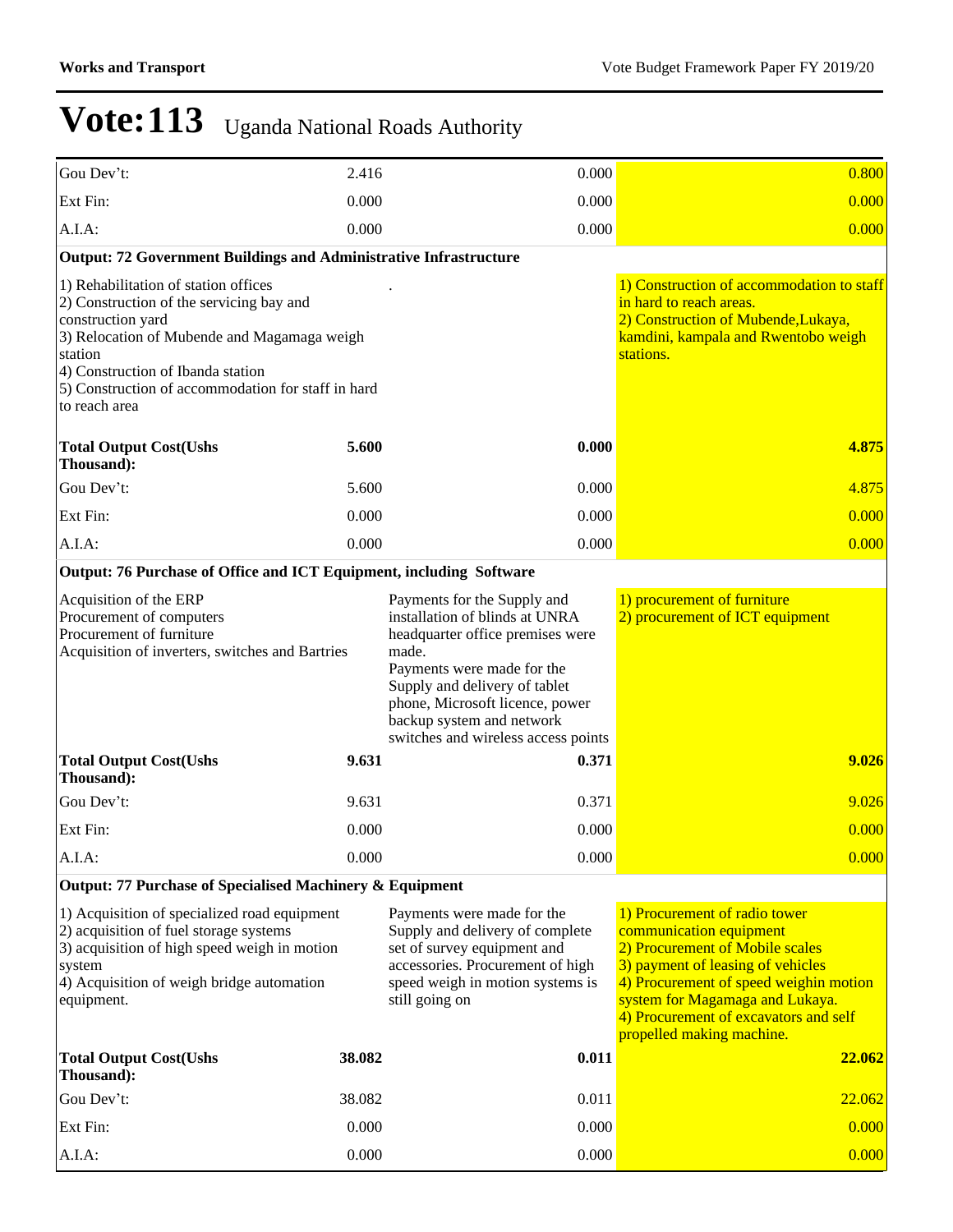| Gou Dev't:                                                                                                                                                                                                                                                                  | 2.416  |                                                                                                                                                                                                                                                                                  | 0.000 | 0.800                                                                                                                                                                                                                                                                               |  |  |
|-----------------------------------------------------------------------------------------------------------------------------------------------------------------------------------------------------------------------------------------------------------------------------|--------|----------------------------------------------------------------------------------------------------------------------------------------------------------------------------------------------------------------------------------------------------------------------------------|-------|-------------------------------------------------------------------------------------------------------------------------------------------------------------------------------------------------------------------------------------------------------------------------------------|--|--|
| Ext Fin:                                                                                                                                                                                                                                                                    | 0.000  |                                                                                                                                                                                                                                                                                  | 0.000 | 0.000                                                                                                                                                                                                                                                                               |  |  |
| A.I.A.                                                                                                                                                                                                                                                                      | 0.000  |                                                                                                                                                                                                                                                                                  | 0.000 | 0.000                                                                                                                                                                                                                                                                               |  |  |
| <b>Output: 72 Government Buildings and Administrative Infrastructure</b>                                                                                                                                                                                                    |        |                                                                                                                                                                                                                                                                                  |       |                                                                                                                                                                                                                                                                                     |  |  |
| 1) Rehabilitation of station offices<br>2) Construction of the servicing bay and<br>construction yard<br>3) Relocation of Mubende and Magamaga weigh<br>station<br>4) Construction of Ibanda station<br>5) Construction of accommodation for staff in hard<br>to reach area |        |                                                                                                                                                                                                                                                                                  |       | 1) Construction of accommodation to staff<br>in hard to reach areas.<br>2) Construction of Mubende, Lukaya,<br>kamdini, kampala and Rwentobo weigh<br>stations.                                                                                                                     |  |  |
| <b>Total Output Cost(Ushs</b><br>Thousand):                                                                                                                                                                                                                                 | 5.600  |                                                                                                                                                                                                                                                                                  | 0.000 | 4.875                                                                                                                                                                                                                                                                               |  |  |
| Gou Dev't:                                                                                                                                                                                                                                                                  | 5.600  |                                                                                                                                                                                                                                                                                  | 0.000 | 4.875                                                                                                                                                                                                                                                                               |  |  |
| Ext Fin:                                                                                                                                                                                                                                                                    | 0.000  |                                                                                                                                                                                                                                                                                  | 0.000 | 0.000                                                                                                                                                                                                                                                                               |  |  |
| $A.I.A$ :                                                                                                                                                                                                                                                                   | 0.000  |                                                                                                                                                                                                                                                                                  | 0.000 | 0.000                                                                                                                                                                                                                                                                               |  |  |
| Output: 76 Purchase of Office and ICT Equipment, including Software                                                                                                                                                                                                         |        |                                                                                                                                                                                                                                                                                  |       |                                                                                                                                                                                                                                                                                     |  |  |
| Acquisition of the ERP<br>Procurement of computers<br>Procurement of furniture<br>Acquisition of inverters, switches and Bartries                                                                                                                                           |        | Payments for the Supply and<br>installation of blinds at UNRA<br>headquarter office premises were<br>made.<br>Payments were made for the<br>Supply and delivery of tablet<br>phone, Microsoft licence, power<br>backup system and network<br>switches and wireless access points |       | 1) procurement of furniture<br>2) procurement of ICT equipment                                                                                                                                                                                                                      |  |  |
| <b>Total Output Cost(Ushs</b><br>Thousand):                                                                                                                                                                                                                                 | 9.631  |                                                                                                                                                                                                                                                                                  | 0.371 | 9.026                                                                                                                                                                                                                                                                               |  |  |
| Gou Dev't:                                                                                                                                                                                                                                                                  | 9.631  |                                                                                                                                                                                                                                                                                  | 0.371 | 9.026                                                                                                                                                                                                                                                                               |  |  |
| Ext Fin:                                                                                                                                                                                                                                                                    | 0.000  |                                                                                                                                                                                                                                                                                  | 0.000 | 0.000                                                                                                                                                                                                                                                                               |  |  |
| A.I.A:                                                                                                                                                                                                                                                                      | 0.000  |                                                                                                                                                                                                                                                                                  | 0.000 | 0.000                                                                                                                                                                                                                                                                               |  |  |
| Output: 77 Purchase of Specialised Machinery & Equipment                                                                                                                                                                                                                    |        |                                                                                                                                                                                                                                                                                  |       |                                                                                                                                                                                                                                                                                     |  |  |
| 1) Acquisition of specialized road equipment<br>2) acquisition of fuel storage systems<br>3) acquisition of high speed weigh in motion<br>system<br>4) Acquisition of weigh bridge automation<br>equipment.                                                                 |        | Payments were made for the<br>Supply and delivery of complete<br>set of survey equipment and<br>accessories. Procurement of high<br>speed weigh in motion systems is<br>still going on                                                                                           |       | 1) Procurement of radio tower<br>communication equipment<br>2) Procurement of Mobile scales<br>3) payment of leasing of vehicles<br>4) Procurement of speed weighin motion<br>system for Magamaga and Lukaya.<br>4) Procurement of excavators and self<br>propelled making machine. |  |  |
| <b>Total Output Cost(Ushs</b><br>Thousand):                                                                                                                                                                                                                                 | 38.082 |                                                                                                                                                                                                                                                                                  | 0.011 | 22.062                                                                                                                                                                                                                                                                              |  |  |
| Gou Dev't:                                                                                                                                                                                                                                                                  | 38.082 |                                                                                                                                                                                                                                                                                  | 0.011 | 22.062                                                                                                                                                                                                                                                                              |  |  |
| Ext Fin:                                                                                                                                                                                                                                                                    | 0.000  |                                                                                                                                                                                                                                                                                  | 0.000 | 0.000                                                                                                                                                                                                                                                                               |  |  |
| A.I.A:                                                                                                                                                                                                                                                                      | 0.000  |                                                                                                                                                                                                                                                                                  | 0.000 | 0.000                                                                                                                                                                                                                                                                               |  |  |